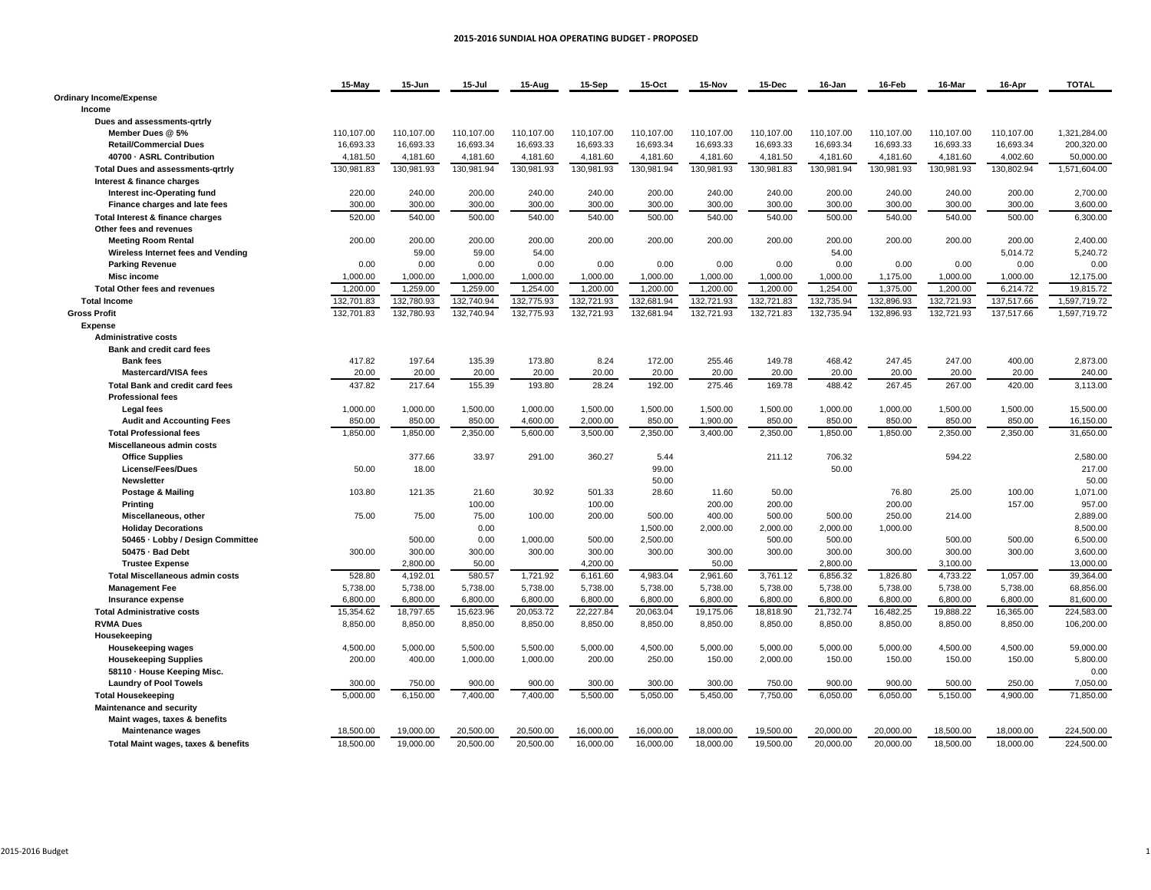#### **2015‐2016 SUNDIAL HOA OPERATING BUDGET ‐ PROPOSED**

|                                                                    | 15-May     | 15-Jun     | 15-Jul     | 15-Aug     | 15-Sep     | 15-Oct     | 15-Nov     | 15-Dec     | 16-Jan     | 16-Feb     | 16-Mar     | 16-Apr     | <b>TOTAL</b> |
|--------------------------------------------------------------------|------------|------------|------------|------------|------------|------------|------------|------------|------------|------------|------------|------------|--------------|
| <b>Ordinary Income/Expense</b><br>Income                           |            |            |            |            |            |            |            |            |            |            |            |            |              |
| Dues and assessments-grtrly                                        |            |            |            |            |            |            |            |            |            |            |            |            |              |
| Member Dues @ 5%                                                   | 110,107.00 | 110,107.00 | 110,107.00 | 110,107.00 | 110,107.00 | 110,107.00 | 110,107.00 | 110,107.00 | 110,107.00 | 110,107.00 | 110,107.00 | 110,107.00 | 1,321,284.00 |
| <b>Retail/Commercial Dues</b>                                      | 16.693.33  | 16.693.33  | 16.693.34  | 16.693.33  | 16.693.33  | 16.693.34  | 16.693.33  | 16.693.33  | 16.693.34  | 16.693.33  | 16.693.33  | 16.693.34  | 200.320.00   |
| 40700 - ASRL Contribution                                          | 4,181.50   | 4,181.60   | 4,181.60   | 4,181.60   | 4,181.60   | 4,181.60   | 4,181.60   | 4,181.50   | 4,181.60   | 4,181.60   | 4,181.60   | 4,002.60   | 50,000.00    |
| <b>Total Dues and assessments-grtrly</b>                           | 130,981.83 | 130,981.93 | 130,981.94 | 130,981.93 | 130,981.93 | 130,981.94 | 130,981.93 | 130,981.83 | 130,981.94 | 130,981.93 | 130,981.93 | 130,802.94 | 1,571,604.00 |
| Interest & finance charges                                         |            |            |            |            |            |            |            |            |            |            |            |            |              |
| Interest inc-Operating fund                                        | 220.00     | 240.00     | 200.00     | 240.00     | 240.00     | 200.00     | 240.00     | 240.00     | 200.00     | 240.00     | 240.00     | 200.00     | 2,700.00     |
| Finance charges and late fees                                      | 300.00     | 300.00     | 300.00     | 300.00     | 300.00     | 300.00     | 300.00     | 300.00     | 300.00     | 300.00     | 300.00     | 300.00     | 3,600.00     |
| Total Interest & finance charges                                   | 520.00     | 540.00     | 500.00     | 540.00     | 540.00     | 500.00     | 540.00     | 540.00     | 500.00     | 540.00     | 540.00     | 500.00     | 6.300.00     |
| Other fees and revenues                                            |            |            |            |            |            |            |            |            |            |            |            |            |              |
| <b>Meeting Room Rental</b>                                         | 200.00     | 200.00     | 200.00     | 200.00     | 200.00     | 200.00     | 200.00     | 200.00     | 200.00     | 200.00     | 200.00     | 200.00     | 2,400.00     |
| Wireless Internet fees and Vending                                 |            | 59.00      | 59.00      | 54.00      |            |            |            |            | 54.00      |            |            | 5,014.72   | 5,240.72     |
| <b>Parking Revenue</b>                                             | 0.00       | 0.00       | 0.00       | 0.00       | 0.00       | 0.00       | 0.00       | 0.00       | 0.00       | 0.00       | 0.00       | 0.00       | 0.00         |
| <b>Misc income</b>                                                 | 1,000.00   | 1,000.00   | 1,000.00   | 1,000.00   | 1,000.00   | 1,000.00   | 1,000.00   | 1,000.00   | 1,000.00   | 1,175.00   | 1,000.00   | 1,000.00   | 12,175.00    |
| <b>Total Other fees and revenues</b>                               | 1,200.00   | 1,259.00   | 1,259.00   | 1,254.00   | 1,200.00   | 1,200.00   | 1,200.00   | 1,200.00   | 1,254.00   | 1,375.00   | 1,200.00   | 6,214.72   | 19,815.72    |
| <b>Total Income</b>                                                | 132,701.83 | 132,780.93 | 132,740.94 | 132,775.93 | 132,721.93 | 132,681.94 | 132,721.93 | 132,721.83 | 132,735.94 | 132,896.93 | 132,721.93 | 137,517.66 | 1,597,719.72 |
|                                                                    |            |            |            |            |            |            |            |            |            | 132.896.93 | 132.721.93 |            |              |
| <b>Gross Profit</b>                                                | 132,701.83 | 132,780.93 | 132,740.94 | 132,775.93 | 132,721.93 | 132,681.94 | 132,721.93 | 132,721.83 | 132,735.94 |            |            | 137,517.66 | 1,597,719.72 |
| <b>Expense</b>                                                     |            |            |            |            |            |            |            |            |            |            |            |            |              |
| <b>Administrative costs</b>                                        |            |            |            |            |            |            |            |            |            |            |            |            |              |
| <b>Bank and credit card fees</b>                                   |            |            |            |            |            |            |            |            |            |            |            |            |              |
| <b>Bank fees</b>                                                   | 417.82     | 197.64     | 135.39     | 173.80     | 8.24       | 172.00     | 255.46     | 149.78     | 468.42     | 247.45     | 247.00     | 400.00     | 2,873.00     |
| <b>Mastercard/VISA fees</b>                                        | 20.00      | 20.00      | 20.00      | 20.00      | 20.00      | 20.00      | 20.00      | 20.00      | 20.00      | 20.00      | 20.00      | 20.00      | 240.00       |
| <b>Total Bank and credit card fees</b><br><b>Professional fees</b> | 437.82     | 217.64     | 155.39     | 193.80     | 28.24      | 192.00     | 275.46     | 169.78     | 488.42     | 267.45     | 267.00     | 420.00     | 3,113.00     |
| <b>Legal fees</b>                                                  | 1,000.00   | 1,000.00   | 1,500.00   | 1,000.00   | 1,500.00   | 1,500.00   | 1,500.00   | 1,500.00   | 1,000.00   | 1,000.00   | 1,500.00   | 1,500.00   | 15,500.00    |
| <b>Audit and Accounting Fees</b>                                   | 850.00     | 850.00     | 850.00     | 4,600.00   | 2,000.00   | 850.00     | 1,900.00   | 850.00     | 850.00     | 850.00     | 850.00     | 850.00     | 16,150.00    |
| <b>Total Professional fees</b>                                     | 1,850.00   | 1,850.00   | 2,350.00   | 5,600.00   | 3,500.00   | 2,350.00   | 3,400.00   | 2,350.00   | 1,850.00   | 1,850.00   | 2,350.00   | 2,350.00   | 31,650.00    |
| Miscellaneous admin costs                                          |            |            |            |            |            |            |            |            |            |            |            |            |              |
| <b>Office Supplies</b>                                             |            | 377.66     | 33.97      | 291.00     | 360.27     | 5.44       |            | 211.12     | 706.32     |            | 594.22     |            | 2,580.00     |
| <b>License/Fees/Dues</b>                                           | 50.00      | 18.00      |            |            |            | 99.00      |            |            | 50.00      |            |            |            | 217.00       |
| Newsletter                                                         |            |            |            |            |            | 50.00      |            |            |            |            |            |            | 50.00        |
| Postage & Mailing                                                  | 103.80     | 121.35     | 21.60      | 30.92      | 501.33     | 28.60      | 11.60      | 50.00      |            | 76.80      | 25.00      | 100.00     | 1,071.00     |
| Printing                                                           |            |            | 100.00     |            | 100.00     |            | 200.00     | 200.00     |            | 200.00     |            | 157.00     | 957.00       |
| Miscellaneous, other                                               | 75.00      | 75.00      | 75.00      | 100.00     | 200.00     | 500.00     | 400.00     | 500.00     | 500.00     | 250.00     | 214.00     |            | 2,889.00     |
| <b>Holiday Decorations</b>                                         |            |            | 0.00       |            |            | 1,500.00   | 2,000.00   | 2,000.00   | 2,000.00   | 1,000.00   |            |            | 8,500.00     |
| 50465 - Lobby / Design Committee                                   |            | 500.00     | 0.00       | 1,000.00   | 500.00     | 2,500.00   |            | 500.00     | 500.00     |            | 500.00     | 500.00     | 6,500.00     |
| 50475 - Bad Debt                                                   | 300.00     | 300.00     | 300.00     | 300.00     | 300.00     | 300.00     | 300.00     | 300.00     | 300.00     | 300.00     | 300.00     | 300.00     | 3,600.00     |
| <b>Trustee Expense</b>                                             |            | 2,800.00   | 50.00      |            | 4,200.00   |            | 50.00      |            | 2,800.00   |            | 3,100.00   |            | 13,000.00    |
| <b>Total Miscellaneous admin costs</b>                             | 528.80     | 4,192.01   | 580.57     | 1,721.92   | 6,161.60   | 4,983.04   | 2,961.60   | 3,761.12   | 6,856.32   | 1,826.80   | 4,733.22   | 1,057.00   | 39,364.00    |
| <b>Management Fee</b>                                              | 5,738.00   | 5,738.00   | 5,738.00   | 5,738.00   | 5,738.00   | 5,738.00   | 5,738.00   | 5,738.00   | 5,738.00   | 5,738.00   | 5,738.00   | 5,738.00   | 68,856.00    |
| Insurance expense                                                  | 6,800.00   | 6,800.00   | 6,800.00   | 6,800.00   | 6,800.00   | 6,800.00   | 6,800.00   | 6,800.00   | 6,800.00   | 6,800.00   | 6,800.00   | 6,800.00   | 81,600.00    |
| <b>Total Administrative costs</b>                                  | 15,354.62  | 18,797.65  | 15,623.96  | 20,053.72  | 22,227.84  | 20,063.04  | 19,175.06  | 18,818.90  | 21,732.74  | 16,482.25  | 19,888.22  | 16,365.00  | 224,583.00   |
| <b>RVMA Dues</b>                                                   | 8,850.00   | 8,850.00   | 8,850.00   | 8,850.00   | 8,850.00   | 8,850.00   | 8,850.00   | 8,850.00   | 8,850.00   | 8,850.00   | 8,850.00   | 8,850.00   | 106,200.00   |
| Housekeeping                                                       |            |            |            |            |            |            |            |            |            |            |            |            |              |
| <b>Housekeeping wages</b>                                          | 4.500.00   | 5.000.00   | 5.500.00   | 5.500.00   | 5.000.00   | 4.500.00   | 5.000.00   | 5.000.00   | 5.000.00   | 5.000.00   | 4.500.00   | 4,500.00   | 59.000.00    |
| <b>Housekeeping Supplies</b>                                       | 200.00     | 400.00     | 1,000.00   | 1,000.00   | 200.00     | 250.00     | 150.00     | 2,000.00   | 150.00     | 150.00     | 150.00     | 150.00     | 5,800.00     |
| 58110 - House Keeping Misc.                                        |            |            |            |            |            |            |            |            |            |            |            |            | 0.00         |
| <b>Laundry of Pool Towels</b>                                      | 300.00     | 750.00     | 900.00     | 900.00     | 300.00     | 300.00     | 300.00     | 750.00     | 900.00     | 900.00     | 500.00     | 250.00     | 7,050.00     |
| <b>Total Housekeeping</b>                                          | 5.000.00   | 6,150.00   | 7,400.00   | 7,400.00   | 5,500.00   | 5,050.00   | 5,450.00   | 7,750.00   | 6,050.00   | 6.050.00   | 5,150.00   | 4,900.00   | 71,850.00    |
| Maintenance and security                                           |            |            |            |            |            |            |            |            |            |            |            |            |              |
| Maint wages, taxes & benefits                                      |            |            |            |            |            |            |            |            |            |            |            |            |              |
| <b>Maintenance wages</b>                                           | 18.500.00  | 19.000.00  | 20,500.00  | 20,500.00  | 16,000.00  | 16,000.00  | 18.000.00  | 19,500.00  | 20,000.00  | 20,000.00  | 18,500.00  | 18,000.00  | 224,500.00   |
| Total Maint wages, taxes & benefits                                | 18,500.00  | 19.000.00  | 20.500.00  | 20,500.00  | 16,000.00  | 16.000.00  | 18.000.00  | 19,500.00  | 20.000.00  | 20,000.00  | 18,500.00  | 18.000.00  | 224.500.00   |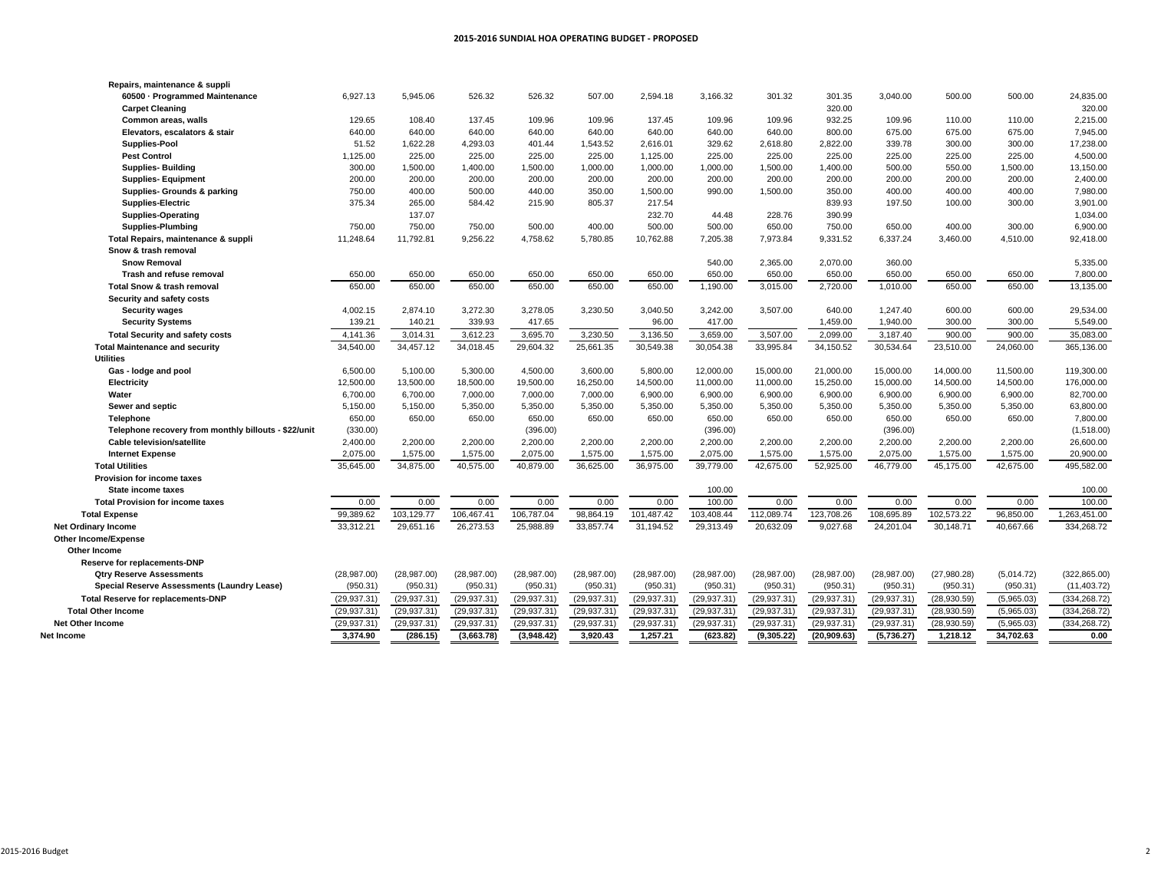| 60500 - Programmed Maintenance                       | 6.927.13     | 5.945.06      | 526.32       | 526.32       | 507.00        | 2.594.18     | 3.166.32     | 301.32       | 301.35       | 3.040.00     | 500.00      | 500.00     | 24,835.00     |
|------------------------------------------------------|--------------|---------------|--------------|--------------|---------------|--------------|--------------|--------------|--------------|--------------|-------------|------------|---------------|
| <b>Carpet Cleaning</b>                               |              |               |              |              |               |              |              |              | 320.00       |              |             |            | 320.00        |
| Common areas, walls                                  | 129.65       | 108.40        | 137.45       | 109.96       | 109.96        | 137.45       | 109.96       | 109.96       | 932.25       | 109.96       | 110.00      | 110.00     | 2,215.00      |
| Elevators, escalators & stair                        | 640.00       | 640.00        | 640.00       | 640.00       | 640.00        | 640.00       | 640.00       | 640.00       | 800.00       | 675.00       | 675.00      | 675.00     | 7,945.00      |
| Supplies-Pool                                        | 51.52        | 1,622.28      | 4,293.03     | 401.44       | 1,543.52      | 2,616.01     | 329.62       | 2,618.80     | 2.822.00     | 339.78       | 300.00      | 300.00     | 17,238.00     |
| <b>Pest Control</b>                                  | 1,125.00     | 225.00        | 225.00       | 225.00       | 225.00        | 1,125.00     | 225.00       | 225.00       | 225.00       | 225.00       | 225.00      | 225.00     | 4,500.00      |
| <b>Supplies-Building</b>                             | 300.00       | 1,500.00      | 1,400.00     | 1,500.00     | 1,000.00      | 1,000.00     | 1,000.00     | 1,500.00     | 1,400.00     | 500.00       | 550.00      | 1,500.00   | 13,150.00     |
| <b>Supplies-Equipment</b>                            | 200.00       | 200.00        | 200.00       | 200.00       | 200.00        | 200.00       | 200.00       | 200.00       | 200.00       | 200.00       | 200.00      | 200.00     | 2,400.00      |
| Supplies- Grounds & parking                          | 750.00       | 400.00        | 500.00       | 440.00       | 350.00        | 1,500.00     | 990.00       | 1,500.00     | 350.00       | 400.00       | 400.00      | 400.00     | 7,980.00      |
| <b>Supplies-Electric</b>                             | 375.34       | 265.00        | 584.42       | 215.90       | 805.37        | 217.54       |              |              | 839.93       | 197.50       | 100.00      | 300.00     | 3,901.00      |
| <b>Supplies-Operating</b>                            |              | 137.07        |              |              |               | 232.70       | 44.48        | 228.76       | 390.99       |              |             |            | 1,034.00      |
| <b>Supplies-Plumbing</b>                             | 750.00       | 750.00        | 750.00       | 500.00       | 400.00        | 500.00       | 500.00       | 650.00       | 750.00       | 650.00       | 400.00      | 300.00     | 6,900.00      |
| Total Repairs, maintenance & suppli                  | 11,248.64    | 11,792.81     | 9,256.22     | 4,758.62     | 5,780.85      | 10,762.88    | 7,205.38     | 7,973.84     | 9,331.52     | 6,337.24     | 3,460.00    | 4,510.00   | 92,418.00     |
| Snow & trash removal                                 |              |               |              |              |               |              |              |              |              |              |             |            |               |
| <b>Snow Removal</b>                                  |              |               |              |              |               |              | 540.00       | 2.365.00     | 2.070.00     | 360.00       |             |            | 5.335.00      |
| <b>Trash and refuse removal</b>                      | 650.00       | 650.00        | 650.00       | 650.00       | 650.00        | 650.00       | 650.00       | 650.00       | 650.00       | 650.00       | 650.00      | 650.00     | 7,800.00      |
| <b>Total Snow &amp; trash removal</b>                | 650.00       | 650.00        | 650.00       | 650.00       | 650.00        | 650.00       | 1,190.00     | 3.015.00     | 2.720.00     | 1.010.00     | 650.00      | 650.00     | 13,135.00     |
| Security and safety costs                            |              |               |              |              |               |              |              |              |              |              |             |            |               |
| <b>Security wages</b>                                | 4,002.15     | 2,874.10      | 3,272.30     | 3,278.05     | 3,230.50      | 3,040.50     | 3,242.00     | 3,507.00     | 640.00       | 1.247.40     | 600.00      | 600.00     | 29,534.00     |
| <b>Security Systems</b>                              | 139.21       | 140.21        | 339.93       | 417.65       |               | 96.00        | 417.00       |              | 1,459.00     | 1,940.00     | 300.00      | 300.00     | 5,549.00      |
| <b>Total Security and safety costs</b>               | 4,141.36     | 3,014.31      | 3,612.23     | 3,695.70     | 3,230.50      | 3,136.50     | 3,659.00     | 3,507.00     | 2,099.00     | 3,187.40     | 900.00      | 900.00     | 35,083.00     |
| <b>Total Maintenance and security</b>                | 34,540.00    | 34,457.12     | 34,018.45    | 29,604.32    | 25,661.35     | 30,549.38    | 30,054.38    | 33,995.84    | 34,150.52    | 30,534.64    | 23,510.00   | 24,060.00  | 365,136.00    |
| <b>Utilities</b>                                     |              |               |              |              |               |              |              |              |              |              |             |            |               |
| Gas - lodge and pool                                 | 6,500.00     | 5,100.00      | 5,300.00     | 4,500.00     | 3,600.00      | 5,800.00     | 12,000.00    | 15,000.00    | 21,000.00    | 15,000.00    | 14,000.00   | 11,500.00  | 119,300.00    |
| Electricity                                          | 12,500.00    | 13,500.00     | 18,500.00    | 19,500.00    | 16,250.00     | 14,500.00    | 11,000.00    | 11,000.00    | 15,250.00    | 15,000.00    | 14,500.00   | 14,500.00  | 176,000.00    |
| Water                                                | 6.700.00     | 6.700.00      | 7.000.00     | 7.000.00     | 7.000.00      | 6,900.00     | 6,900.00     | 6.900.00     | 6.900.00     | 6.900.00     | 6.900.00    | 6.900.00   | 82,700.00     |
| Sewer and septic                                     | 5,150.00     | 5,150.00      | 5,350.00     | 5,350.00     | 5,350.00      | 5,350.00     | 5,350.00     | 5,350.00     | 5,350.00     | 5,350.00     | 5,350.00    | 5,350.00   | 63,800.00     |
| <b>Telephone</b>                                     | 650.00       | 650.00        | 650.00       | 650.00       | 650.00        | 650.00       | 650.00       | 650.00       | 650.00       | 650.00       | 650.00      | 650.00     | 7,800.00      |
| Telephone recovery from monthly billouts - \$22/unit | (330.00)     |               |              | (396.00)     |               |              | (396.00)     |              |              | (396.00)     |             |            | (1,518.00)    |
| <b>Cable television/satellite</b>                    | 2,400.00     | 2,200.00      | 2,200.00     | 2,200.00     | 2,200.00      | 2,200.00     | 2,200.00     | 2,200.00     | 2,200.00     | 2,200.00     | 2.200.00    | 2,200.00   | 26,600.00     |
| <b>Internet Expense</b>                              | 2,075.00     | 1,575.00      | 1,575.00     | 2,075.00     | 1,575.00      | 1,575.00     | 2,075.00     | 1,575.00     | 1,575.00     | 2,075.00     | 1,575.00    | 1,575.00   | 20,900.00     |
| <b>Total Utilities</b>                               | 35.645.00    | 34,875.00     | 40,575.00    | 40,879.00    | 36,625.00     | 36,975.00    | 39,779.00    | 42.675.00    | 52.925.00    | 46.779.00    | 45.175.00   | 42.675.00  | 495.582.00    |
| <b>Provision for income taxes</b>                    |              |               |              |              |               |              |              |              |              |              |             |            |               |
| State income taxes                                   |              |               |              |              |               |              | 100.00       |              |              |              |             |            | 100.00        |
| <b>Total Provision for income taxes</b>              | 0.00         | 0.00          | 0.00         | 0.00         | 0.00          | 0.00         | 100.00       | 0.00         | 0.00         | 0.00         | 0.00        | 0.00       | 100.00        |
| <b>Total Expense</b>                                 | 99,389.62    | 103,129.77    | 106,467.41   | 106,787.04   | 98,864.19     | 101,487.42   | 103,408.44   | 112,089.74   | 123,708.26   | 108,695.89   | 102,573.22  | 96,850.00  | 1,263,451.00  |
| <b>Net Ordinary Income</b>                           | 33,312.21    | 29,651.16     | 26,273.53    | 25,988.89    | 33,857.74     | 31,194.52    | 29,313.49    | 20,632.09    | 9,027.68     | 24,201.04    | 30,148.71   | 40,667.66  | 334,268.72    |
| <b>Other Income/Expense</b>                          |              |               |              |              |               |              |              |              |              |              |             |            |               |
| Other Income                                         |              |               |              |              |               |              |              |              |              |              |             |            |               |
| Reserve for replacements-DNP                         |              |               |              |              |               |              |              |              |              |              |             |            |               |
| <b>Qtry Reserve Assessments</b>                      | (28, 987.00) | (28,987.00)   | (28, 987.00) | (28, 987.00) | (28, 987.00)  | (28, 987.00) | (28, 987.00) | (28, 987.00) | (28, 987.00) | (28, 987.00) | (27,980.28) | (5,014.72) | (322, 865.00) |
| Special Reserve Assessments (Laundry Lease)          | (950.31)     | (950.31)      | (950.31)     | (950.31)     | (950.31)      | (950.31)     | (950.31)     | (950.31)     | (950.31)     | (950.31)     | (950.31)    | (950.31)   | (11, 403.72)  |
| <b>Total Reserve for replacements-DNP</b>            | (29, 937.31) | (29, 937, 31) | (29, 937.31) | (29, 937.31) | (29, 937, 31) | (29, 937.31) | (29, 937.31) | (29, 937.31) | (29, 937.31) | (29, 937.31) | (28,930.59) | (5,965.03) | (334, 268.72) |
| <b>Total Other Income</b>                            | (29, 937.31) | (29, 937.31)  | (29, 937.31) | (29, 937.31) | (29, 937.31)  | (29, 937.31) | (29, 937.31) | (29, 937.31) | (29, 937.31) | (29, 937.31) | (28,930.59) | (5,965.03) | (334, 268.72) |
| <b>Net Other Income</b>                              | (29, 937.31) | (29, 937.31)  | (29, 937.31) | (29, 937.31) | (29, 937.31)  | (29, 937.31) | (29, 937.31) | (29, 937.31) | (29, 937.31) | (29, 937.31) | (28,930.59) | (5,965.03) | (334, 268.72) |
| Net Income                                           | 3.374.90     | (286.15)      | (3.663.78)   | (3.948.42)   | 3.920.43      | 1.257.21     | (623.82)     | (9.305.22)   | (20.909.63)  | (5.736.27)   | 1.218.12    | 34.702.63  | 0.00          |

**Repairs, maintenance & suppli**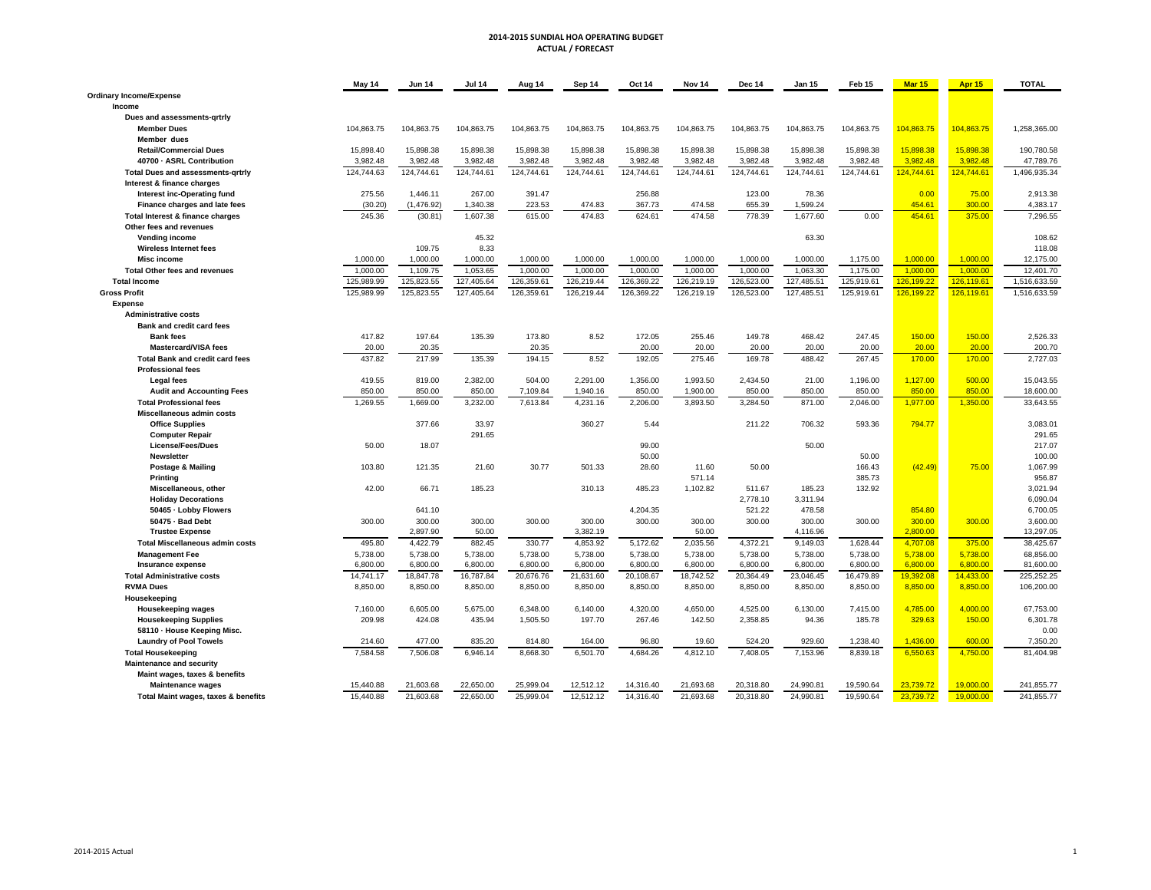### **2014‐2015 SUNDIAL HOA OPERATING BUDGET ACTUAL / FORECAST**

|                                          | May 14     | <b>Jun 14</b> | <b>Jul 14</b> | Aug 14     | Sep 14     | Oct 14     | Nov 14     | <b>Dec 14</b> | <b>Jan 15</b> | Feb 15     | <b>Mar 15</b> | <b>Apr 15</b> | <b>TOTAL</b> |
|------------------------------------------|------------|---------------|---------------|------------|------------|------------|------------|---------------|---------------|------------|---------------|---------------|--------------|
| <b>Ordinary Income/Expense</b>           |            |               |               |            |            |            |            |               |               |            |               |               |              |
| Income                                   |            |               |               |            |            |            |            |               |               |            |               |               |              |
| Dues and assessments-qrtrly              |            |               |               |            |            |            |            |               |               |            |               |               |              |
| <b>Member Dues</b>                       | 104,863.75 | 104,863.75    | 104,863.75    | 104,863.75 | 104,863.75 | 104,863.75 | 104,863.75 | 104,863.75    | 104,863.75    | 104,863.75 | 104,863.75    | 104,863.75    | 1,258,365.00 |
| Member dues                              |            |               |               |            |            |            |            |               |               |            |               |               |              |
| <b>Retail/Commercial Dues</b>            | 15,898.40  | 15,898.38     | 15,898.38     | 15,898.38  | 15,898.38  | 15,898.38  | 15,898.38  | 15,898.38     | 15,898.38     | 15,898.38  | 15,898.38     | 15,898.38     | 190,780.58   |
| 40700 - ASRL Contribution                | 3,982.48   | 3,982.48      | 3,982.48      | 3,982.48   | 3,982.48   | 3,982.48   | 3,982.48   | 3,982.48      | 3,982.48      | 3,982.48   | 3,982.48      | 3,982.48      | 47,789.76    |
|                                          | 124,744.63 | 124,744.61    | 124,744.61    | 124,744.61 | 124,744.61 | 124,744.61 | 124,744.61 | 124,744.61    | 124,744.61    | 124,744.61 | 124,744.61    | 124,744.61    | 1,496,935.34 |
| <b>Total Dues and assessments-grtrly</b> |            |               |               |            |            |            |            |               |               |            |               |               |              |
| Interest & finance charges               |            |               |               |            |            |            |            |               |               |            |               |               |              |
| Interest inc-Operating fund              | 275.56     | 1,446.11      | 267.00        | 391.47     |            | 256.88     |            | 123.00        | 78.36         |            | 0.00          | 75.00         | 2,913.38     |
| Finance charges and late fees            | (30.20)    | (1,476.92)    | 1,340.38      | 223.53     | 474.83     | 367.73     | 474.58     | 655.39        | 1,599.24      |            | 454.61        | 300.00        | 4,383.17     |
| Total Interest & finance charges         | 245.36     | (30.81)       | 1.607.38      | 615.00     | 474.83     | 624.61     | 474.58     | 778.39        | 1,677.60      | 0.00       | 454.61        | 375.00        | 7.296.55     |
| Other fees and revenues                  |            |               |               |            |            |            |            |               |               |            |               |               |              |
| Vending income                           |            |               | 45.32         |            |            |            |            |               | 63.30         |            |               |               | 108.62       |
| <b>Wireless Internet fees</b>            |            | 109.75        | 8.33          |            |            |            |            |               |               |            |               |               | 118.08       |
| <b>Misc income</b>                       | 1,000.00   | 1,000.00      | 1.000.00      | 1,000.00   | 1,000.00   | 1,000.00   | 1,000.00   | 1.000.00      | 1.000.00      | 1,175.00   | 1.000.00      | 1.000.00      | 12,175.00    |
| <b>Total Other fees and revenues</b>     | 1,000.00   | 1,109.75      | 1,053.65      | 1,000.00   | 1,000.00   | 1,000.00   | 1,000.00   | 1,000.00      | 1,063.30      | 1,175.00   | 1,000.00      | 1,000.00      | 12,401.70    |
| <b>Total Income</b>                      | 125.989.99 | 125,823.55    | 127.405.64    | 126.359.61 | 126.219.44 | 126.369.22 | 126,219.19 | 126.523.00    | 127.485.51    | 125,919.61 | 126.199.22    | 126.119.61    | 1.516.633.59 |
| <b>Gross Profit</b>                      | 125,989.99 | 125,823.55    | 127,405.64    | 126,359.61 | 126,219.44 | 126,369.22 | 126,219.19 | 126,523.00    | 127,485.51    | 125,919.61 | 126,199.22    | 126,119.61    | 1,516,633.59 |
| <b>Expense</b>                           |            |               |               |            |            |            |            |               |               |            |               |               |              |
| <b>Administrative costs</b>              |            |               |               |            |            |            |            |               |               |            |               |               |              |
| <b>Bank and credit card fees</b>         |            |               |               |            |            |            |            |               |               |            |               |               |              |
| <b>Bank fees</b>                         | 417.82     | 197.64        | 135.39        | 173.80     | 8.52       | 172.05     | 255.46     | 149.78        | 468.42        | 247.45     | 150.00        | 150.00        | 2,526.33     |
| <b>Mastercard/VISA fees</b>              | 20.00      | 20.35         |               | 20.35      |            | 20.00      | 20.00      | 20.00         | 20.00         | 20.00      | 20.00         | 20.00         | 200.70       |
| <b>Total Bank and credit card fees</b>   | 437.82     | 217.99        | 135.39        | 194.15     | 8.52       | 192.05     | 275.46     | 169.78        | 488.42        | 267.45     | 170.00        | 170.00        | 2.727.03     |
|                                          |            |               |               |            |            |            |            |               |               |            |               |               |              |
| <b>Professional fees</b>                 |            |               |               |            |            |            |            |               |               |            |               |               |              |
| <b>Legal fees</b>                        | 419.55     | 819.00        | 2,382.00      | 504.00     | 2,291.00   | 1,356.00   | 1,993.50   | 2,434.50      | 21.00         | 1,196.00   | 1,127.00      | 500.00        | 15,043.55    |
| <b>Audit and Accounting Fees</b>         | 850.00     | 850.00        | 850.00        | 7,109.84   | 1,940.16   | 850.00     | 1,900.00   | 850.00        | 850.00        | 850.00     | 850.00        | 850.00        | 18,600.00    |
| <b>Total Professional fees</b>           | 1,269.55   | 1,669.00      | 3,232.00      | 7,613.84   | 4,231.16   | 2,206.00   | 3,893.50   | 3,284.50      | 871.00        | 2,046.00   | 1,977.00      | 1,350.00      | 33,643.55    |
| Miscellaneous admin costs                |            |               |               |            |            |            |            |               |               |            |               |               |              |
| <b>Office Supplies</b>                   |            | 377.66        | 33.97         |            | 360.27     | 5.44       |            | 211.22        | 706.32        | 593.36     | 794.77        |               | 3,083.01     |
| <b>Computer Repair</b>                   |            |               | 291.65        |            |            |            |            |               |               |            |               |               | 291.65       |
| <b>License/Fees/Dues</b>                 | 50.00      | 18.07         |               |            |            | 99.00      |            |               | 50.00         |            |               |               | 217.07       |
| Newsletter                               |            |               |               |            |            | 50.00      |            |               |               | 50.00      |               |               | 100.00       |
| Postage & Mailing                        | 103.80     | 121.35        | 21.60         | 30.77      | 501.33     | 28.60      | 11.60      | 50.00         |               | 166.43     | (42.49)       | 75.00         | 1,067.99     |
| <b>Printing</b>                          |            |               |               |            |            |            | 571.14     |               |               | 385.73     |               |               | 956.87       |
| Miscellaneous, other                     | 42.00      | 66.71         | 185.23        |            | 310.13     | 485.23     | 1,102.82   | 511.67        | 185.23        | 132.92     |               |               | 3,021.94     |
| <b>Holiday Decorations</b>               |            |               |               |            |            |            |            | 2,778.10      | 3,311.94      |            |               |               | 6,090.04     |
| 50465 - Lobby Flowers                    |            | 641.10        |               |            |            | 4,204.35   |            | 521.22        | 478.58        |            | 854.80        |               | 6,700.05     |
| 50475 - Bad Debt                         | 300.00     | 300.00        | 300.00        | 300.00     | 300.00     | 300.00     | 300.00     | 300.00        | 300.00        | 300.00     | 300.00        | 300.00        | 3,600.00     |
| <b>Trustee Expense</b>                   |            | 2,897.90      | 50.00         |            | 3,382.19   |            | 50.00      |               | 4,116.96      |            | 2,800.00      |               | 13,297.05    |
| <b>Total Miscellaneous admin costs</b>   | 495.80     | 4,422.79      | 882.45        | 330.77     | 4,853.92   | 5,172.62   | 2,035.56   | 4,372.21      | 9,149.03      | 1,628.44   | 4,707.08      | 375.00        | 38,425.67    |
| <b>Management Fee</b>                    | 5,738.00   | 5,738.00      | 5,738.00      | 5,738.00   | 5.738.00   | 5.738.00   | 5,738.00   | 5,738.00      | 5,738.00      | 5,738.00   | 5.738.00      | 5,738.00      | 68,856.00    |
| Insurance expense                        | 6,800.00   | 6,800.00      | 6,800.00      | 6,800.00   | 6,800.00   | 6,800.00   | 6,800.00   | 6,800.00      | 6,800.00      | 6,800.00   | 6,800.00      | 6,800.00      | 81,600.00    |
| <b>Total Administrative costs</b>        | 14,741.17  | 18,847.78     | 16,787.84     | 20,676.76  | 21,631.60  | 20,108.67  | 18,742.52  | 20,364.49     | 23,046.45     | 16,479.89  | 19.392.08     | 14,433.00     | 225.252.25   |
| <b>RVMA Dues</b>                         | 8,850.00   | 8,850.00      | 8,850.00      | 8,850.00   | 8,850.00   | 8,850.00   | 8,850.00   | 8,850.00      | 8,850.00      | 8,850.00   | 8,850.00      | 8,850.00      | 106,200.00   |
|                                          |            |               |               |            |            |            |            |               |               |            |               |               |              |
| Housekeeping                             | 7,160.00   | 6,605.00      | 5.675.00      | 6.348.00   | 6.140.00   | 4.320.00   | 4.650.00   | 4,525.00      | 6,130.00      | 7.415.00   | 4.785.00      | 4.000.00      | 67,753.00    |
| <b>Housekeeping wages</b>                |            |               |               |            |            |            |            |               |               |            |               |               |              |
| <b>Housekeeping Supplies</b>             | 209.98     | 424.08        | 435.94        | 1,505.50   | 197.70     | 267.46     | 142.50     | 2,358.85      | 94.36         | 185.78     | 329.63        | 150.00        | 6,301.78     |
| 58110 · House Keeping Misc.              |            |               |               |            |            |            |            |               |               |            |               |               | 0.00         |
| <b>Laundry of Pool Towels</b>            | 214.60     | 477.00        | 835.20        | 814.80     | 164.00     | 96.80      | 19.60      | 524.20        | 929.60        | 1,238.40   | 1,436.00      | 600.00        | 7,350.20     |
| <b>Total Housekeeping</b>                | 7,584.58   | 7,506.08      | 6,946.14      | 8,668.30   | 6,501.70   | 4,684.26   | 4,812.10   | 7,408.05      | 7,153.96      | 8,839.18   | 6,550.63      | 4,750.00      | 81,404.98    |
| <b>Maintenance and security</b>          |            |               |               |            |            |            |            |               |               |            |               |               |              |
| Maint wages, taxes & benefits            |            |               |               |            |            |            |            |               |               |            |               |               |              |
| <b>Maintenance wages</b>                 | 15,440.88  | 21,603.68     | 22,650.00     | 25,999.04  | 12,512.12  | 14,316.40  | 21,693.68  | 20,318.80     | 24,990.81     | 19,590.64  | 23,739.72     | 19,000.00     | 241,855.77   |
| Total Maint wages, taxes & benefits      | 15,440.88  | 21,603.68     | 22,650.00     | 25,999.04  | 12,512.12  | 14,316.40  | 21,693.68  | 20,318.80     | 24,990.81     | 19,590.64  | 23,739.72     | 19,000.00     | 241,855.77   |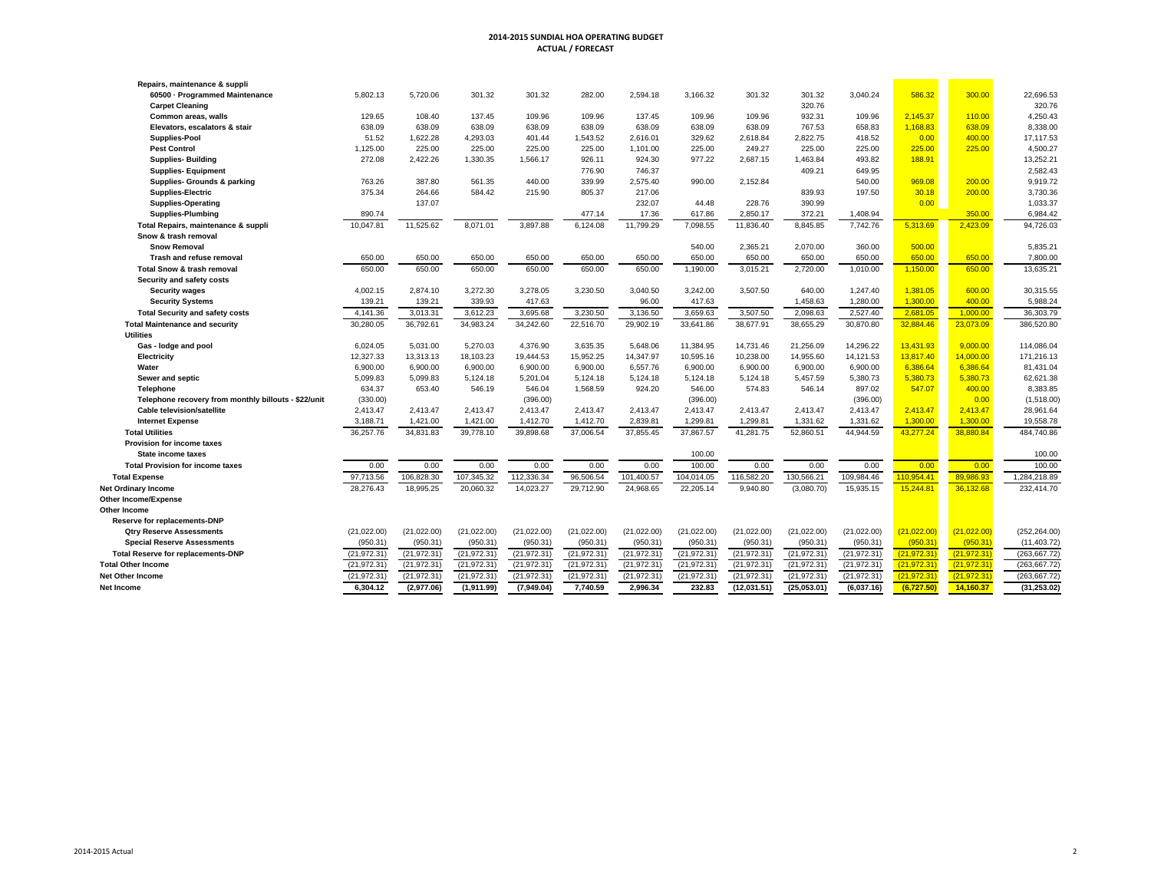#### **2014‐2015 SUNDIAL HOA OPERATING BUDGET ACTUAL / FORECAST**

| Repairs, maintenance & suppli                        |              |              |              |              |              |              |              |              |              |              |              |              |               |
|------------------------------------------------------|--------------|--------------|--------------|--------------|--------------|--------------|--------------|--------------|--------------|--------------|--------------|--------------|---------------|
| 60500 · Programmed Maintenance                       | 5,802.13     | 5,720.06     | 301.32       | 301.32       | 282.00       | 2,594.18     | 3,166.32     | 301.32       | 301.32       | 3,040.24     | 586.32       | 300.00       | 22,696.53     |
| <b>Carpet Cleaning</b>                               |              |              |              |              |              |              |              |              | 320.76       |              |              |              | 320.76        |
| Common areas, walls                                  | 129.65       | 108.40       | 137.45       | 109.96       | 109.96       | 137.45       | 109.96       | 109.96       | 932.31       | 109.96       | 2.145.37     | 110.00       | 4,250.43      |
| Elevators, escalators & stair                        | 638.09       | 638.09       | 638.09       | 638.09       | 638.09       | 638.09       | 638.09       | 638.09       | 767.53       | 658.83       | 1,168.83     | 638.09       | 8,338.00      |
| <b>Supplies-Pool</b>                                 | 51.52        | 1,622.28     | 4,293.03     | 401.44       | 1,543.52     | 2,616.01     | 329.62       | 2,618.84     | 2,822.75     | 418.52       | 0.00         | 400.00       | 17,117.53     |
| <b>Pest Control</b>                                  | 1,125.00     | 225.00       | 225.00       | 225.00       | 225.00       | 1,101.00     | 225.00       | 249.27       | 225.00       | 225.00       | 225.00       | 225.00       | 4,500.27      |
| <b>Supplies-Building</b>                             | 272.08       | 2,422.26     | 1,330.35     | 1,566.17     | 926.11       | 924.30       | 977.22       | 2.687.15     | 1,463.84     | 493.82       | 188.91       |              | 13,252.21     |
| <b>Supplies-Equipment</b>                            |              |              |              |              | 776.90       | 746.37       |              |              | 409.21       | 649.95       |              |              | 2,582.43      |
| Supplies- Grounds & parking                          | 763.26       | 387.80       | 561.35       | 440.00       | 339.99       | 2,575.40     | 990.00       | 2,152.84     |              | 540.00       | 969.08       | 200.00       | 9,919.72      |
| <b>Supplies-Electric</b>                             | 375.34       | 264.66       | 584.42       | 215.90       | 805.37       | 217.06       |              |              | 839.93       | 197.50       | 30.18        | 200.00       | 3,730.36      |
| <b>Supplies-Operating</b>                            |              | 137.07       |              |              |              | 232.07       | 44.48        | 228.76       | 390.99       |              | 0.00         |              | 1,033.37      |
| <b>Supplies-Plumbing</b>                             | 890.74       |              |              |              | 477.14       | 17.36        | 617.86       | 2,850.17     | 372.21       | 1,408.94     |              | 350.00       | 6,984.42      |
| Total Repairs, maintenance & suppli                  | 10,047.81    | 11,525.62    | 8.071.01     | 3,897.88     | 6,124.08     | 11,799.29    | 7,098.55     | 11,836.40    | 8,845.85     | 7,742.76     | 5,313.69     | 2,423.09     | 94,726.03     |
| Snow & trash removal                                 |              |              |              |              |              |              |              |              |              |              |              |              |               |
| <b>Snow Removal</b>                                  |              |              |              |              |              |              | 540.00       | 2,365.21     | 2,070.00     | 360.00       | 500.00       |              | 5,835.21      |
| Trash and refuse removal                             | 650.00       | 650.00       | 650.00       | 650.00       | 650.00       | 650.00       | 650.00       | 650.00       | 650.00       | 650.00       | 650.00       | 650.00       | 7,800.00      |
| <b>Total Snow &amp; trash removal</b>                | 650.00       | 650.00       | 650.00       | 650.00       | 650.00       | 650.00       | 1,190.00     | 3,015.21     | 2,720.00     | 1.010.00     | 1,150.00     | 650.00       | 13,635.21     |
| Security and safety costs                            |              |              |              |              |              |              |              |              |              |              |              |              |               |
| <b>Security wages</b>                                | 4,002.15     | 2,874.10     | 3,272.30     | 3,278.05     | 3.230.50     | 3,040.50     | 3,242.00     | 3.507.50     | 640.00       | 1,247.40     | 1.381.05     | 600.00       | 30,315.55     |
| <b>Security Systems</b>                              | 139.21       | 139.21       | 339.93       | 417.63       |              | 96.00        | 417.63       |              | 1,458.63     | 1,280.00     | 1,300.00     | 400.00       | 5,988.24      |
| <b>Total Security and safety costs</b>               | 4,141.36     | 3,013.31     | 3,612.23     | 3,695.68     | 3,230.50     | 3,136.50     | 3,659.63     | 3,507.50     | 2,098.63     | 2,527.40     | 2,681.05     | 1,000.00     | 36,303.79     |
| <b>Total Maintenance and security</b>                | 30.280.05    | 36.792.61    | 34.983.24    | 34.242.60    | 22.516.70    | 29.902.19    | 33.641.86    | 38.677.91    | 38.655.29    | 30.870.80    | 32.884.46    | 23,073.09    | 386,520.80    |
| <b>Utilities</b>                                     |              |              |              |              |              |              |              |              |              |              |              |              |               |
| Gas - lodge and pool                                 | 6,024.05     | 5,031.00     | 5.270.03     | 4.376.90     | 3,635.35     | 5.648.06     | 11,384.95    | 14,731.46    | 21,256.09    | 14.296.22    | 13,431.93    | 9.000.00     | 114,086.04    |
| Electricity                                          | 12,327.33    | 13,313.13    | 18,103.23    | 19,444.53    | 15,952.25    | 14,347.97    | 10,595.16    | 10,238.00    | 14,955.60    | 14,121.53    | 13,817.40    | 14,000.00    | 171,216.13    |
| Water                                                | 6,900.00     | 6,900.00     | 6,900.00     | 6,900.00     | 6,900.00     | 6,557.76     | 6,900.00     | 6,900.00     | 6,900.00     | 6,900.00     | 6,386.64     | 6,386.64     | 81,431.04     |
| Sewer and septic                                     | 5,099.83     | 5,099.83     | 5,124.18     | 5,201.04     | 5,124.18     | 5,124.18     | 5,124.18     | 5,124.18     | 5,457.59     | 5,380.73     | 5,380.73     | 5,380.73     | 62,621.38     |
| <b>Telephone</b>                                     | 634.37       | 653.40       | 546.19       | 546.04       | 1,568.59     | 924.20       | 546.00       | 574.83       | 546.14       | 897.02       | 547.07       | 400.00       | 8,383.85      |
| Telephone recovery from monthly billouts - \$22/unit | (330.00)     |              |              | (396.00)     |              |              | (396.00)     |              |              | (396.00)     |              | 0.00         | (1,518.00)    |
| <b>Cable television/satellite</b>                    | 2,413.47     | 2,413.47     | 2.413.47     | 2,413.47     | 2,413.47     | 2,413.47     | 2,413.47     | 2,413.47     | 2,413.47     | 2,413.47     | 2.413.47     | 2,413.47     | 28,961.64     |
| <b>Internet Expense</b>                              | 3,188.71     | 1,421.00     | 1,421.00     | 1,412.70     | 1,412.70     | 2,839.81     | 1,299.81     | 1,299.81     | 1,331.62     | 1,331.62     | 1,300.00     | 1,300.00     | 19,558.78     |
| <b>Total Utilities</b>                               | 36,257.76    | 34,831.83    | 39,778.10    | 39,898.68    | 37,006.54    | 37,855.45    | 37,867.57    | 41,281.75    | 52,860.51    | 44,944.59    | 43,277.24    | 38,880.84    | 484,740.86    |
| Provision for income taxes                           |              |              |              |              |              |              |              |              |              |              |              |              |               |
| <b>State income taxes</b>                            |              |              |              |              |              |              | 100.00       |              |              |              |              |              | 100.00        |
| <b>Total Provision for income taxes</b>              | 0.00         | 0.00         | 0.00         | 0.00         | 0.00         | 0.00         | 100.00       | 0.00         | 0.00         | 0.00         | 0.00         | 0.00         | 100.00        |
| <b>Total Expense</b>                                 | 97,713.56    | 106,828.30   | 107,345.32   | 112,336.34   | 96,506.54    | 101,400.57   | 104,014.05   | 116,582.20   | 130,566.21   | 109,984.46   | 110.954.41   | 89,986.93    | 1,284,218.89  |
| <b>Net Ordinary Income</b>                           | 28.276.43    | 18.995.25    | 20.060.32    | 14.023.27    | 29.712.90    | 24.968.65    | 22.205.14    | 9.940.80     | (3,080.70)   | 15.935.15    | 15.244.81    | 36.132.68    | 232.414.70    |
| <b>Other Income/Expense</b>                          |              |              |              |              |              |              |              |              |              |              |              |              |               |
| Other Income                                         |              |              |              |              |              |              |              |              |              |              |              |              |               |
| Reserve for replacements-DNP                         |              |              |              |              |              |              |              |              |              |              |              |              |               |
| <b>Qtry Reserve Assessments</b>                      | (21,022.00)  | (21,022.00)  | (21,022.00)  | (21,022.00)  | (21,022.00)  | (21,022.00)  | (21,022.00)  | (21,022.00)  | (21,022.00)  | (21,022.00)  | (21,022.00)  | (21,022.00)  | (252, 264.00) |
| <b>Special Reserve Assessments</b>                   | (950.31)     | (950.31)     | (950.31)     | (950.31)     | (950.31)     | (950.31)     | (950.31)     | (950.31)     | (950.31)     | (950.31)     | (950.31)     | (950.31)     | (11, 403.72)  |
| <b>Total Reserve for replacements-DNP</b>            | (21, 972.31) | (21, 972.31) | (21, 972.31) | (21, 972.31) | (21, 972.31) | (21, 972.31) | (21, 972.31) | (21, 972.31) | (21, 972.31) | (21, 972.31) | (21, 972.31) | (21, 972.31) | (263, 667.72) |
| <b>Total Other Income</b>                            | (21, 972.31) | (21, 972.31) | (21, 972.31) | (21, 972.31) | (21, 972.31) | (21, 972.31) | (21, 972.31) | (21, 972.31) | (21, 972.31) | (21, 972.31) | (21, 972.31) | (21, 972.31) | (263.667.72)  |
| <b>Net Other Income</b>                              | (21, 972.31) | (21, 972.31) | (21, 972.31) | (21, 972.31) | (21, 972.31) | (21, 972.31) | (21, 972.31) | (21, 972.31) | (21, 972.31) | (21, 972.31) | (21, 972.31) | (21, 972.31) | (263, 667.72) |
| Net Income                                           | 6.304.12     | (2,977.06)   | (1,911.99)   | (7,949.04)   | 7,740.59     | 2.996.34     | 232.83       | (12,031.51)  | (25,053.01)  | (6,037.16)   | (6,727.50)   | 14,160.37    | (31, 253.02)  |
|                                                      |              |              |              |              |              |              |              |              |              |              |              |              |               |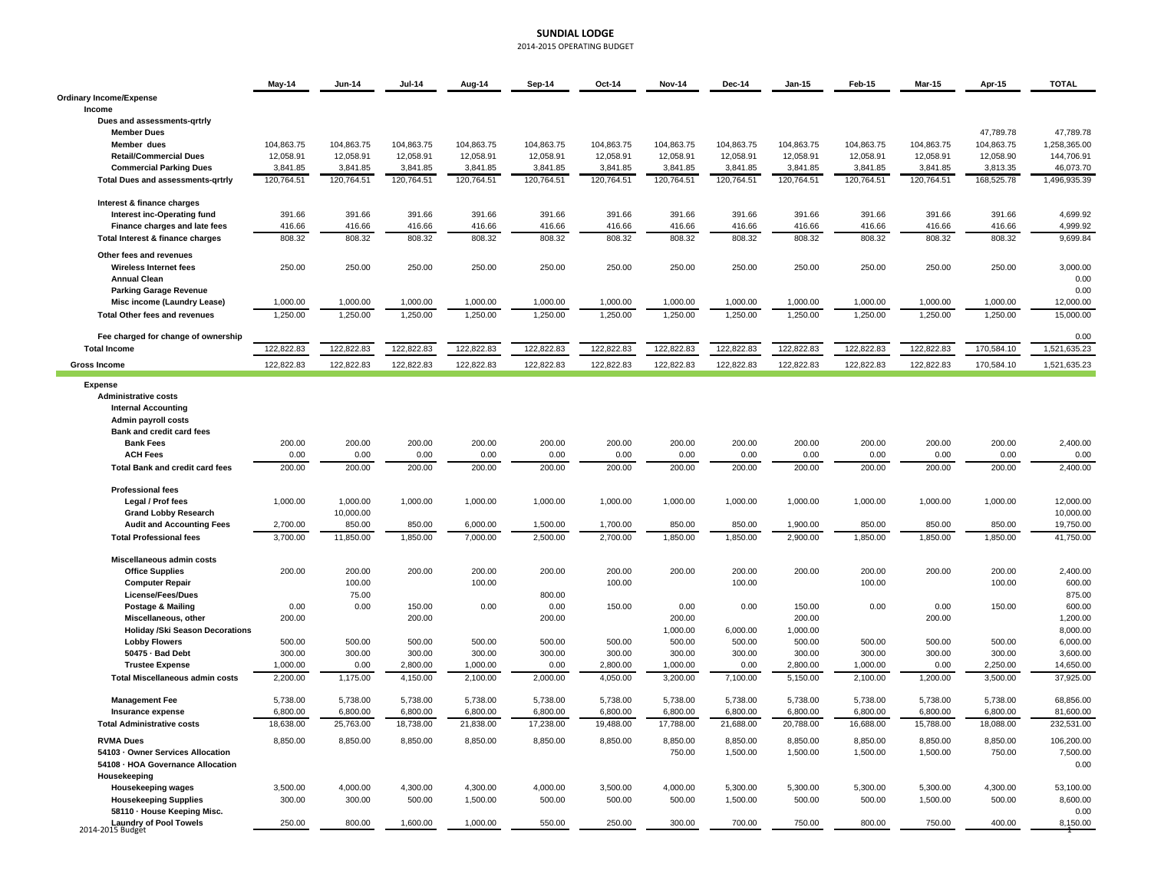### **SUNDIAL LODGE** 2014‐2015 OPERATING BUDGET

|                                                             | May-14     | <b>Jun-14</b>    | <b>Jul-14</b> | Aug-14           | Sep-14           | Oct-14     | <b>Nov-14</b> | <b>Dec-14</b> | <b>Jan-15</b> | <b>Feb-15</b> | <b>Mar-15</b>    | Apr-15     | <b>TOTAL</b>         |
|-------------------------------------------------------------|------------|------------------|---------------|------------------|------------------|------------|---------------|---------------|---------------|---------------|------------------|------------|----------------------|
| <b>Ordinary Income/Expense</b>                              |            |                  |               |                  |                  |            |               |               |               |               |                  |            |                      |
| Income                                                      |            |                  |               |                  |                  |            |               |               |               |               |                  |            |                      |
| Dues and assessments-grtrly<br><b>Member Dues</b>           |            |                  |               |                  |                  |            |               |               |               |               |                  | 47,789.78  | 47,789.78            |
| Member dues                                                 | 104,863.75 | 104,863.75       | 104,863.75    | 104,863.75       | 104,863.75       | 104,863.75 | 104,863.75    | 104,863.75    | 104,863.75    | 104,863.75    | 104,863.75       | 104,863.75 | 1,258,365.00         |
| <b>Retail/Commercial Dues</b>                               | 12,058.91  | 12,058.91        | 12,058.91     | 12,058.91        | 12,058.91        | 12,058.91  | 12,058.91     | 12,058.91     | 12,058.91     | 12,058.91     | 12,058.91        | 12,058.90  | 144,706.91           |
| <b>Commercial Parking Dues</b>                              | 3,841.85   | 3,841.85         | 3,841.85      | 3,841.85         | 3,841.85         | 3,841.85   | 3,841.85      | 3,841.85      | 3,841.85      | 3,841.85      | 3,841.85         | 3,813.35   | 46,073.70            |
| <b>Total Dues and assessments-grtrly</b>                    | 120,764.51 | 120,764.51       | 120,764.51    | 120,764.51       | 120,764.51       | 120,764.51 | 120,764.51    | 120,764.51    | 120,764.51    | 120,764.51    | 120,764.51       | 168,525.78 | 1,496,935.39         |
| Interest & finance charges                                  |            |                  |               |                  |                  |            |               |               |               |               |                  |            |                      |
| Interest inc-Operating fund                                 | 391.66     | 391.66           | 391.66        | 391.66           | 391.66           | 391.66     | 391.66        | 391.66        | 391.66        | 391.66        | 391.66           | 391.66     | 4,699.92             |
| Finance charges and late fees                               | 416.66     | 416.66<br>808.32 | 416.66        | 416.66<br>808.32 | 416.66<br>808.32 | 416.66     | 416.66        | 416.66        | 416.66        | 416.66        | 416.66<br>808.32 | 416.66     | 4,999.92<br>9,699.84 |
| Total Interest & finance charges<br>Other fees and revenues | 808.32     |                  | 808.32        |                  |                  | 808.32     | 808.32        | 808.32        | 808.32        | 808.32        |                  | 808.32     |                      |
| Wireless Internet fees<br><b>Annual Clean</b>               | 250.00     | 250.00           | 250.00        | 250.00           | 250.00           | 250.00     | 250.00        | 250.00        | 250.00        | 250.00        | 250.00           | 250.00     | 3,000.00<br>0.00     |
| <b>Parking Garage Revenue</b>                               |            |                  |               |                  |                  |            |               |               |               |               |                  |            | 0.00                 |
| Misc income (Laundry Lease)                                 | 1,000.00   | 1,000.00         | 1,000.00      | 1,000.00         | 1,000.00         | 1,000.00   | 1,000.00      | 1,000.00      | 1,000.00      | 1,000.00      | 1,000.00         | 1,000.00   | 12,000.00            |
| <b>Total Other fees and revenues</b>                        | 1,250.00   | 1.250.00         | 1,250.00      | 1,250.00         | 1,250.00         | 1,250.00   | 1,250.00      | 1,250.00      | 1,250.00      | 1,250.00      | 1,250.00         | 1,250.00   | 15,000.00            |
| Fee charged for change of ownership                         |            |                  | 122,822.83    |                  |                  |            |               | 122,822.83    | 122,822.83    |               |                  |            | 0.00                 |
| <b>Total Income</b>                                         | 122,822.83 | 122,822.83       |               | 122,822.83       | 122,822.83       | 122,822.83 | 122,822.83    |               |               | 122,822.83    | 122,822.83       | 170,584.10 | 1,521,635.23         |
| <b>Gross Income</b>                                         | 122,822.83 | 122,822.83       | 122,822.83    | 122,822.83       | 122,822.83       | 122,822.83 | 122,822.83    | 122,822.83    | 122,822.83    | 122,822.83    | 122,822.83       | 170,584.10 | 1,521,635.23         |
| Expense                                                     |            |                  |               |                  |                  |            |               |               |               |               |                  |            |                      |
| <b>Administrative costs</b>                                 |            |                  |               |                  |                  |            |               |               |               |               |                  |            |                      |
| <b>Internal Accounting</b>                                  |            |                  |               |                  |                  |            |               |               |               |               |                  |            |                      |
| <b>Admin payroll costs</b>                                  |            |                  |               |                  |                  |            |               |               |               |               |                  |            |                      |
| Bank and credit card fees                                   |            |                  |               |                  |                  |            |               |               |               |               |                  |            |                      |
| <b>Bank Fees</b>                                            | 200.00     | 200.00           | 200.00        | 200.00           | 200.00           | 200.00     | 200.00        | 200.00        | 200.00        | 200.00        | 200.00           | 200.00     | 2,400.00             |
| <b>ACH Fees</b>                                             | 0.00       | 0.00             | 0.00          | 0.00             | 0.00             | 0.00       | 0.00          | 0.00          | 0.00          | 0.00          | 0.00             | 0.00       | 0.00                 |
| <b>Total Bank and credit card fees</b>                      | 200.00     | 200.00           | 200.00        | 200.00           | 200.00           | 200.00     | 200.00        | 200.00        | 200.00        | 200.00        | 200.00           | 200.00     | 2,400.00             |
| <b>Professional fees</b>                                    |            |                  |               |                  |                  |            |               |               |               |               |                  |            |                      |
| Legal / Prof fees                                           | 1,000.00   | 1,000.00         | 1,000.00      | 1,000.00         | 1,000.00         | 1,000.00   | 1,000.00      | 1,000.00      | 1,000.00      | 1,000.00      | 1,000.00         | 1,000.00   | 12,000.00            |
| <b>Grand Lobby Research</b>                                 |            | 10,000.00        |               |                  |                  |            |               |               |               |               |                  |            | 10,000.00            |
| <b>Audit and Accounting Fees</b>                            | 2,700.00   | 850.00           | 850.00        | 6,000.00         | 1,500.00         | 1,700.00   | 850.00        | 850.00        | 1,900.00      | 850.00        | 850.00           | 850.00     | 19,750.00            |
| <b>Total Professional fees</b>                              | 3,700.00   | 11,850.00        | 1,850.00      | 7,000.00         | 2,500.00         | 2,700.00   | 1,850.00      | 1,850.00      | 2,900.00      | 1,850.00      | 1,850.00         | 1,850.00   | 41,750.00            |
| Miscellaneous admin costs                                   |            |                  |               |                  |                  |            |               |               |               |               |                  |            |                      |
| <b>Office Supplies</b>                                      | 200.00     | 200.00           | 200.00        | 200.00           | 200.00           | 200.00     | 200.00        | 200.00        | 200.00        | 200.00        | 200.00           | 200.00     | 2,400.00             |
| <b>Computer Repair</b>                                      |            | 100.00           |               | 100.00           |                  | 100.00     |               | 100.00        |               | 100.00        |                  | 100.00     | 600.00               |
| License/Fees/Dues                                           |            | 75.00            |               |                  | 800.00           |            |               |               |               |               |                  |            | 875.00               |
| Postage & Mailing                                           | 0.00       | 0.00             | 150.00        | 0.00             | 0.00             | 150.00     | 0.00          | 0.00          | 150.00        | 0.00          | 0.00             | 150.00     | 600.00               |
| Miscellaneous, other                                        | 200.00     |                  | 200.00        |                  | 200.00           |            | 200.00        |               | 200.00        |               | 200.00           |            | 1,200.00             |
| <b>Holiday /Ski Season Decorations</b>                      |            |                  |               |                  |                  |            | 1,000.00      | 6.000.00      | 1,000.00      |               |                  |            | 8,000.00             |
| <b>Lobby Flowers</b>                                        | 500.00     | 500.00           | 500.00        | 500.00           | 500.00           | 500.00     | 500.00        | 500.00        | 500.00        | 500.00        | 500.00           | 500.00     | 6,000.00             |
| 50475 Bad Debt                                              | 300.00     | 300.00           | 300.00        | 300.00           | 300.00           | 300.00     | 300.00        | 300.00        | 300.00        | 300.00        | 300.00           | 300.00     | 3,600.00             |
| <b>Trustee Expense</b>                                      | 1,000.00   | 0.00             | 2,800.00      | 1,000.00         | 0.00             | 2,800.00   | 1,000.00      | 0.00          | 2,800.00      | 1,000.00      | 0.00             | 2,250.00   | 14,650.00            |
| <b>Total Miscellaneous admin costs</b>                      | 2,200.00   | 1,175.00         | 4,150.00      | 2,100.00         | 2,000.00         | 4,050.00   | 3,200.00      | 7,100.00      | 5,150.00      | 2,100.00      | 1,200.00         | 3,500.00   | 37,925.00            |
| <b>Management Fee</b>                                       | 5,738.00   | 5,738.00         | 5,738.00      | 5,738.00         | 5,738.00         | 5,738.00   | 5,738.00      | 5,738.00      | 5,738.00      | 5,738.00      | 5,738.00         | 5,738.00   | 68,856.00            |
| Insurance expense                                           | 6,800.00   | 6,800.00         | 6,800.00      | 6,800.00         | 6,800.00         | 6,800.00   | 6,800.00      | 6,800.00      | 6,800.00      | 6,800.00      | 6,800.00         | 6,800.00   | 81,600.00            |
| <b>Total Administrative costs</b>                           | 18,638.00  | 25,763.00        | 18,738.00     | 21,838.00        | 17,238.00        | 19,488.00  | 17,788.00     | 21,688.00     | 20,788.00     | 16,688.00     | 15,788.00        | 18,088.00  | 232,531.00           |
| <b>RVMA Dues</b>                                            | 8,850.00   | 8,850.00         | 8,850.00      | 8,850.00         | 8,850.00         | 8,850.00   | 8,850.00      | 8,850.00      | 8,850.00      | 8,850.00      | 8,850.00         | 8,850.00   | 106,200.00           |
| 54103 Owner Services Allocation                             |            |                  |               |                  |                  |            | 750.00        | 1,500.00      | 1,500.00      | 1,500.00      | 1,500.00         | 750.00     | 7,500.00             |
| 54108 - HOA Governance Allocation                           |            |                  |               |                  |                  |            |               |               |               |               |                  |            | 0.00                 |
| Housekeeping                                                |            |                  |               |                  |                  |            |               |               |               |               |                  |            |                      |
| Housekeeping wages                                          | 3,500.00   | 4,000.00         | 4,300.00      | 4,300.00         | 4,000.00         | 3,500.00   | 4,000.00      | 5,300.00      | 5,300.00      | 5,300.00      | 5,300.00         | 4,300.00   | 53,100.00            |
| <b>Housekeeping Supplies</b>                                | 300.00     | 300.00           | 500.00        | 1,500.00         | 500.00           | 500.00     | 500.00        | 1,500.00      | 500.00        | 500.00        | 1,500.00         | 500.00     | 8,600.00             |
| 58110 - House Keeping Misc.                                 |            |                  |               |                  |                  |            |               |               |               |               |                  |            | 0.00                 |
| <b>Laundry of Pool Towels</b><br>2014-2015 Budget           | 250.00     | 800.00           | 1,600.00      | 1.000.00         | 550.00           | 250.00     | 300.00        | 700.00        | 750.00        | 800.00        | 750.00           | 400.00     | 8,150.00             |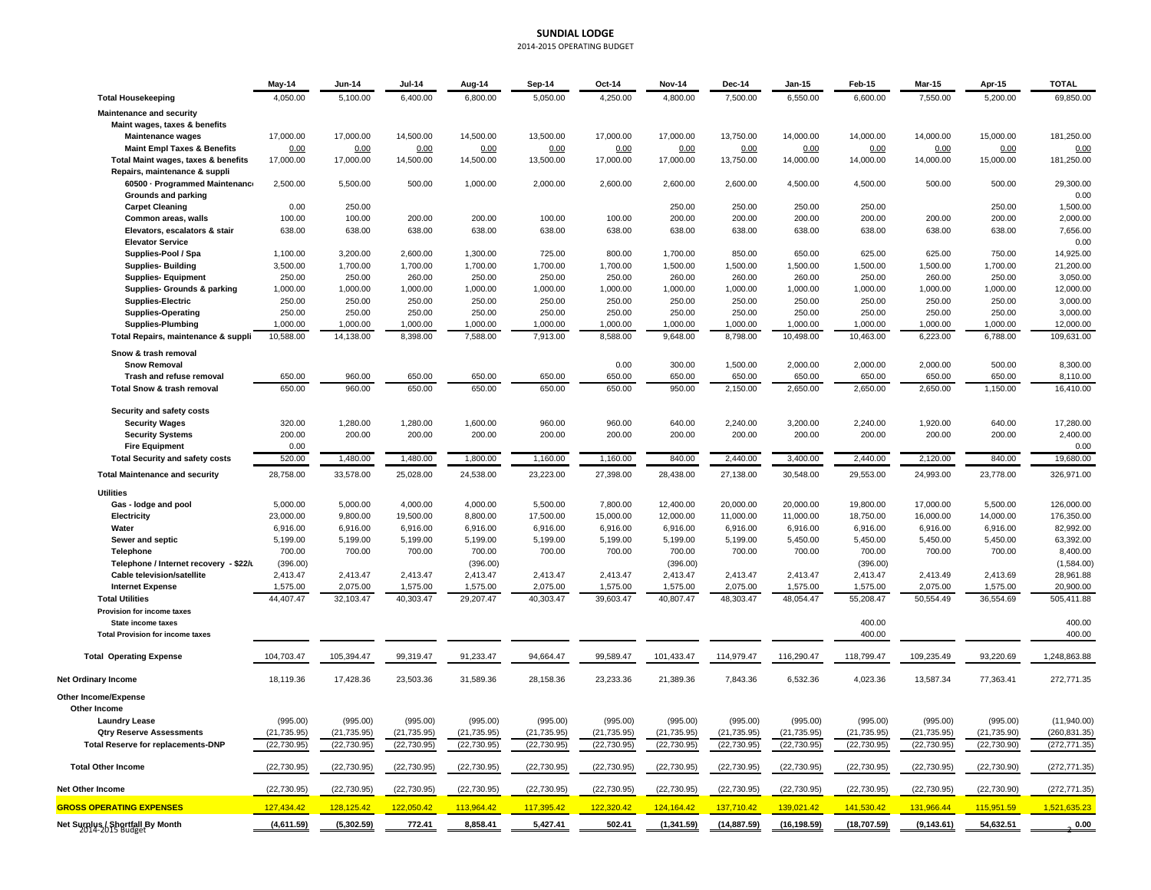### **SUNDIAL LODGE** 2014‐2015 OPERATING BUDGET

|                                                                  | $May-14$             | <b>Jun-14</b>        | <b>Jul-14</b>        | Aug-14               | Sep-14               | Oct-14               | <b>Nov-14</b>        | <b>Dec-14</b>        | Jan-15               | Feb-15               | <b>Mar-15</b>        | Apr-15               | <b>TOTAL</b>           |
|------------------------------------------------------------------|----------------------|----------------------|----------------------|----------------------|----------------------|----------------------|----------------------|----------------------|----------------------|----------------------|----------------------|----------------------|------------------------|
| <b>Total Housekeeping</b>                                        | 4,050.00             | 5,100.00             | 6,400.00             | 6,800.00             | 5,050.00             | 4,250.00             | 4,800.00             | 7,500.00             | 6,550.00             | 6,600.00             | 7,550.00             | 5,200.00             | 69,850.00              |
| <b>Maintenance and security</b><br>Maint wages, taxes & benefits |                      |                      |                      |                      |                      |                      |                      |                      |                      |                      |                      |                      |                        |
| <b>Maintenance wages</b>                                         | 17,000.00            | 17,000.00            | 14,500.00            | 14,500.00            | 13,500.00            | 17,000.00            | 17,000.00            | 13,750.00            | 14,000.00            | 14,000.00            | 14,000.00            | 15,000.00            | 181,250.00             |
| <b>Maint Empl Taxes &amp; Benefits</b>                           | 0.00                 | 0.00                 | 0.00                 | 0.00                 | 0.00                 | 0.00                 | 0.00                 | 0.00                 | 0.00                 | 0.00                 | 0.00                 | 0.00                 | 0.00                   |
| Total Maint wages, taxes & benefits                              | 17,000.00            | 17,000.00            | 14,500.00            | 14,500.00            | 13,500.00            | 17,000.00            | 17,000.00            | 13,750.00            | 14,000.00            | 14,000.00            | 14,000.00            | 15,000.00            | 181,250.00             |
| Repairs, maintenance & suppli                                    |                      |                      |                      |                      |                      |                      |                      |                      |                      |                      |                      |                      |                        |
| 60500 - Programmed Maintenance                                   | 2,500.00             | 5,500.00             | 500.00               | 1,000.00             | 2,000.00             | 2,600.00             | 2,600.00             | 2,600.00             | 4,500.00             | 4,500.00             | 500.00               | 500.00               | 29,300.00              |
| Grounds and parking                                              |                      |                      |                      |                      |                      |                      |                      |                      |                      |                      |                      |                      | 0.00                   |
| <b>Carpet Cleaning</b>                                           | 0.00                 | 250.00               |                      |                      |                      |                      | 250.00               | 250.00               | 250.00               | 250.00               |                      | 250.00               | 1,500.00               |
| Common areas, walls                                              | 100.00               | 100.00               | 200.00               | 200.00               | 100.00               | 100.00               | 200.00               | 200.00               | 200.00               | 200.00               | 200.00               | 200.00               | 2,000.00               |
| Elevators, escalators & stair<br><b>Elevator Service</b>         | 638.00               | 638.00               | 638.00               | 638.00               | 638.00               | 638.00               | 638.00               | 638.00               | 638.00               | 638.00               | 638.00               | 638.00               | 7,656.00               |
| Supplies-Pool / Spa                                              | 1,100.00             | 3,200.00             | 2,600.00             | 1,300.00             | 725.00               | 800.00               | 1,700.00             | 850.00               | 650.00               | 625.00               | 625.00               | 750.00               | 0.00<br>14,925.00      |
| <b>Supplies-Building</b>                                         | 3,500.00             | 1,700.00             | 1,700.00             | 1,700.00             | 1,700.00             | 1,700.00             | 1,500.00             | 1,500.00             | 1,500.00             | 1,500.00             | 1,500.00             | 1,700.00             | 21,200.00              |
| <b>Supplies-Equipment</b>                                        | 250.00               | 250.00               | 260.00               | 250.00               | 250.00               | 250.00               | 260.00               | 260.00               | 260.00               | 250.00               | 260.00               | 250.00               | 3,050.00               |
| Supplies- Grounds & parking                                      | 1,000.00             | 1,000.00             | 1,000.00             | 1,000.00             | 1,000.00             | 1,000.00             | 1,000.00             | 1,000.00             | 1,000.00             | 1,000.00             | 1,000.00             | 1,000.00             | 12,000.00              |
| <b>Supplies-Electric</b>                                         | 250.00               | 250.00               | 250.00               | 250.00               | 250.00               | 250.00               | 250.00               | 250.00               | 250.00               | 250.00               | 250.00               | 250.00               | 3,000.00               |
| <b>Supplies-Operating</b>                                        | 250.00               | 250.00               | 250.00               | 250.00               | 250.00               | 250.00               | 250.00               | 250.00               | 250.00               | 250.00               | 250.00               | 250.00               | 3,000.00               |
| <b>Supplies-Plumbing</b>                                         | 1,000.00             | 1,000.00             | 1,000.00             | 1,000.00             | 1,000.00             | 1,000.00             | 1,000.00             | 1,000.00             | 1,000.00             | 1,000.00             | 1,000.00             | 1,000.00             | 12,000.00              |
| Total Repairs, maintenance & suppli                              | 10,588.00            | 14,138.00            | 8,398.00             | 7,588.00             | 7,913.00             | 8,588.00             | 9,648.00             | 8,798.00             | 10,498.00            | 10,463.00            | 6,223.00             | 6,788.00             | 109,631.00             |
| Snow & trash removal                                             |                      |                      |                      |                      |                      |                      |                      |                      |                      |                      |                      |                      |                        |
| <b>Snow Removal</b>                                              |                      |                      |                      |                      |                      | 0.00                 | 300.00               | 1,500.00             | 2,000.00             | 2,000.00             | 2,000.00             | 500.00               | 8,300.00               |
| Trash and refuse removal                                         | 650.00               | 960.00               | 650.00               | 650.00               | 650.00               | 650.00               | 650.00               | 650.00               | 650.00               | 650.00               | 650.00               | 650.00               | 8,110.00               |
| <b>Total Snow &amp; trash removal</b>                            | 650.00               | 960.00               | 650.00               | 650.00               | 650.00               | 650.00               | 950.00               | 2,150.00             | 2,650.00             | 2,650.00             | 2,650.00             | 1,150.00             | 16,410.00              |
| Security and safety costs                                        |                      |                      |                      |                      |                      |                      |                      |                      |                      |                      |                      |                      |                        |
| <b>Security Wages</b>                                            | 320.00               | 1,280.00             | 1,280.00             | 1,600.00             | 960.00               | 960.00               | 640.00               | 2,240.00             | 3,200.00             | 2,240.00             | 1,920.00             | 640.00               | 17,280.00              |
| <b>Security Systems</b>                                          | 200.00               | 200.00               | 200.00               | 200.00               | 200.00               | 200.00               | 200.00               | 200.00               | 200.00               | 200.00               | 200.00               | 200.00               | 2,400.00               |
| <b>Fire Equipment</b>                                            | 0.00                 |                      |                      |                      |                      |                      |                      |                      |                      |                      |                      |                      | 0.00                   |
| <b>Total Security and safety costs</b>                           | 520.00               | 1,480.00             | 1,480.00             | 1,800.00             | 1,160.00             | 1,160.00             | 840.00               | 2,440.00             | 3,400.00             | 2,440.00             | 2,120.00             | 840.00               | 19,680.00              |
| <b>Total Maintenance and security</b>                            | 28,758.00            | 33,578.00            | 25,028.00            | 24,538.00            | 23,223.00            | 27,398.00            | 28,438.00            | 27,138.00            | 30,548.00            | 29,553.00            | 24,993.00            | 23,778.00            | 326,971.00             |
| <b>Utilities</b>                                                 |                      |                      |                      |                      |                      |                      |                      |                      |                      |                      |                      |                      |                        |
| Gas - lodge and pool                                             | 5,000.00             | 5,000.00             | 4,000.00             | 4,000.00             | 5,500.00             | 7,800.00             | 12,400.00            | 20,000.00            | 20,000.00            | 19,800.00            | 17,000.00            | 5,500.00             | 126,000.00             |
| Electricity                                                      | 23,000.00            | 9,800.00             | 19,500.00            | 8,800.00             | 17,500.00            | 15,000.00            | 12,000.00            | 11,000.00            | 11,000.00            | 18,750.00            | 16,000.00            | 14,000.00            | 176,350.00             |
| Water                                                            | 6,916.00             | 6,916.00             | 6,916.00             | 6,916.00             | 6,916.00             | 6,916.00             | 6,916.00             | 6,916.00             | 6,916.00             | 6,916.00             | 6,916.00             | 6,916.00             | 82,992.00              |
| Sewer and septic                                                 | 5,199.00             | 5,199.00             | 5,199.00             | 5,199.00             | 5,199.00             | 5,199.00             | 5,199.00             | 5,199.00             | 5,450.00             | 5,450.00             | 5,450.00             | 5,450.00             | 63,392.00              |
| Telephone                                                        | 700.00               | 700.00               | 700.00               | 700.00               | 700.00               | 700.00               | 700.00               | 700.00               | 700.00               | 700.00               | 700.00               | 700.00               | 8,400.00               |
| Telephone / Internet recovery - \$22/u                           | (396.00)             |                      |                      | (396.00)             |                      |                      | (396.00)             |                      |                      | (396.00)             |                      |                      | (1,584.00)             |
| <b>Cable television/satellite</b><br><b>Internet Expense</b>     | 2,413.47<br>1,575.00 | 2,413.47<br>2,075.00 | 2,413.47<br>1,575.00 | 2,413.47<br>1,575.00 | 2,413.47<br>2,075.00 | 2,413.47<br>1,575.00 | 2,413.47<br>1,575.00 | 2,413.47<br>2,075.00 | 2,413.47<br>1,575.00 | 2,413.47<br>1,575.00 | 2,413.49<br>2,075.00 | 2,413.69<br>1,575.00 | 28,961.88<br>20,900.00 |
| <b>Total Utilities</b>                                           | 44,407.47            | 32,103.47            | 40,303.47            | 29,207.47            | 40,303.47            | 39,603.47            | 40,807.47            | 48,303.47            | 48,054.47            | 55,208.47            | 50,554.49            | 36,554.69            | 505,411.88             |
| Provision for income taxes                                       |                      |                      |                      |                      |                      |                      |                      |                      |                      |                      |                      |                      |                        |
| State income taxes                                               |                      |                      |                      |                      |                      |                      |                      |                      |                      | 400.00               |                      |                      | 400.00                 |
| <b>Total Provision for income taxes</b>                          |                      |                      |                      |                      |                      |                      |                      |                      |                      | 400.00               |                      |                      | 400.00                 |
| <b>Total Operating Expense</b>                                   | 104,703.47           | 105,394.47           | 99,319.47            | 91,233.47            | 94,664.47            | 99,589.47            | 101,433.47           | 114,979.47           | 116,290.47           | 118,799.47           | 109,235.49           | 93,220.69            | 1,248,863.88           |
| <b>Net Ordinary Income</b>                                       | 18,119.36            | 17,428.36            | 23,503.36            | 31,589.36            | 28,158.36            | 23,233.36            | 21,389.36            | 7,843.36             | 6,532.36             | 4,023.36             | 13,587.34            | 77,363.41            | 272,771.35             |
| Other Income/Expense                                             |                      |                      |                      |                      |                      |                      |                      |                      |                      |                      |                      |                      |                        |
| <b>Other Income</b>                                              |                      |                      |                      |                      |                      |                      |                      |                      |                      |                      |                      |                      |                        |
| <b>Laundry Lease</b>                                             | (995.00)             | (995.00)             | (995.00)             | (995.00)             | (995.00)             | (995.00)             | (995.00)             | (995.00)             | (995.00)             | (995.00)             | (995.00)             | (995.00)             | (11,940.00)            |
| <b>Qtry Reserve Assessments</b>                                  | (21, 735.95)         | (21, 735.95)         | (21, 735.95)         | (21, 735.95)         | (21, 735.95)         | (21, 735.95)         | (21, 735.95)         | (21, 735.95)         | (21, 735.95)         | (21, 735.95)         | (21, 735.95)         | (21, 735.90)         | (260, 831.35)          |
| <b>Total Reserve for replacements-DNP</b>                        | (22, 730.95)         | (22, 730.95)         | (22, 730.95)         | (22, 730.95)         | (22, 730.95)         | (22, 730.95)         | (22, 730.95)         | (22, 730.95)         | (22, 730.95)         | (22, 730.95)         | (22, 730.95)         | (22, 730.90)         | (272, 771.35)          |
| <b>Total Other Income</b>                                        | (22, 730.95)         | (22, 730.95)         | (22, 730.95)         | (22, 730.95)         | (22, 730.95)         | (22, 730.95)         | (22, 730.95)         | (22, 730.95)         | (22, 730.95)         | (22, 730.95)         | (22, 730.95)         | (22, 730.90)         | (272, 771.35)          |
| <b>Net Other Income</b>                                          | (22, 730.95)         | (22, 730.95)         | (22, 730.95)         | (22, 730.95)         | (22, 730.95)         | (22, 730.95)         | (22, 730.95)         | (22, 730.95)         | (22, 730.95)         | (22, 730.95)         | (22, 730.95)         | (22, 730.90)         | (272, 771.35)          |
| <b>GROSS OPERATING EXPENSES</b>                                  | 127,434.42           | 128,125.42           | 122,050.42           | 113,964.42           | 117,395.42           | 122,320.42           | 124,164.42           | 137,710.42           | 139,021.42           | 141,530.42           | 131,966.44           | 115,951.59           | 1,521,635.23           |
| Net Surplus / Shortfall By Month                                 | (4,611.59)           | (5,302.59)           | 772.41               | 8,858.41             | 5,427.41             | 502.41               | (1,341.59)           | (14, 887.59)         | (16, 198.59)         | (18,707.59)          | (9, 143.61)          | 54,632.51            | $\bf 0.00$             |
|                                                                  |                      |                      |                      |                      |                      |                      |                      |                      |                      |                      |                      |                      |                        |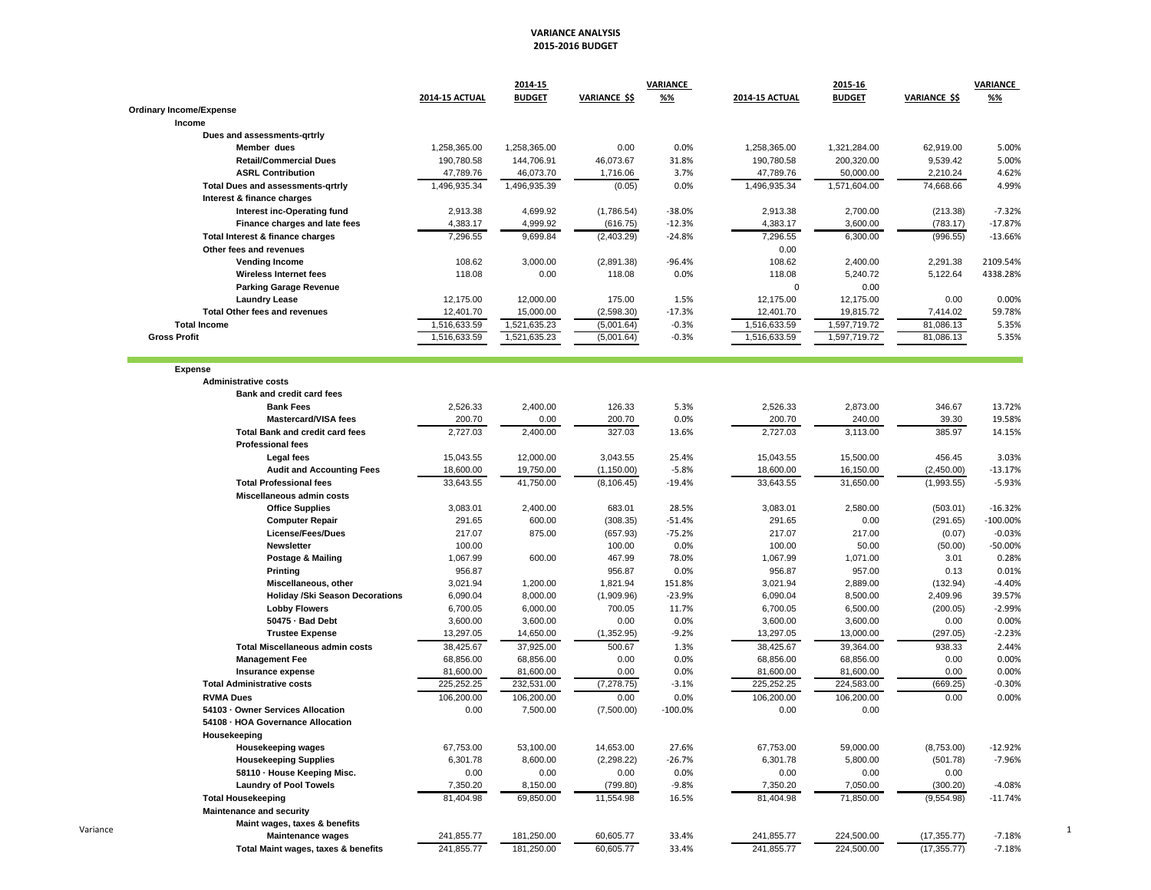### **VARIANCE ANALYSIS 2015‐2016 BUDGET**

|                                                           |                       | 2014-15       |                      | <b>VARIANCE</b> |                            | 2015-16       |                      | <b>VARIANCE</b> |
|-----------------------------------------------------------|-----------------------|---------------|----------------------|-----------------|----------------------------|---------------|----------------------|-----------------|
|                                                           | <b>2014-15 ACTUAL</b> | <b>BUDGET</b> | <b>VARIANCE \$\$</b> | %%              | <b>2014-15 ACTUAL</b>      | <b>BUDGET</b> | <b>VARIANCE \$\$</b> | %%              |
| <b>Ordinary Income/Expense</b>                            |                       |               |                      |                 |                            |               |                      |                 |
| Income                                                    |                       |               |                      |                 |                            |               |                      |                 |
| Dues and assessments-grtrly<br>Member dues                | 1,258,365.00          | 1,258,365.00  | 0.00                 | 0.0%            |                            | 1,321,284.00  | 62,919.00            | 5.00%           |
| <b>Retail/Commercial Dues</b>                             | 190,780.58            | 144,706.91    | 46,073.67            | 31.8%           | 1,258,365.00<br>190,780.58 | 200,320.00    | 9,539.42             | 5.00%           |
| <b>ASRL Contribution</b>                                  | 47,789.76             | 46,073.70     | 1,716.06             | 3.7%            | 47,789.76                  | 50,000.00     | 2,210.24             | 4.62%           |
| <b>Total Dues and assessments-grtrly</b>                  | 1,496,935.34          | 1,496,935.39  | (0.05)               | 0.0%            | 1,496,935.34               | 1,571,604.00  | 74,668.66            | 4.99%           |
| Interest & finance charges                                |                       |               |                      |                 |                            |               |                      |                 |
| Interest inc-Operating fund                               | 2,913.38              | 4,699.92      | (1,786.54)           | $-38.0%$        | 2,913.38                   | 2,700.00      | (213.38)             | $-7.32%$        |
| Finance charges and late fees                             | 4,383.17              | 4,999.92      | (616.75)             | $-12.3%$        | 4,383.17                   | 3,600.00      | (783.17)             | $-17.87%$       |
| Total Interest & finance charges                          | 7,296.55              | 9,699.84      | (2,403.29)           | $-24.8%$        | 7,296.55                   | 6,300.00      | (996.55)             | $-13.66%$       |
| Other fees and revenues                                   |                       |               |                      |                 | 0.00                       |               |                      |                 |
| <b>Vending Income</b>                                     | 108.62                | 3,000.00      | (2,891.38)           | $-96.4%$        | 108.62                     | 2,400.00      | 2,291.38             | 2109.54%        |
| <b>Wireless Internet fees</b>                             | 118.08                | 0.00          | 118.08               | 0.0%            | 118.08                     | 5,240.72      | 5,122.64             | 4338.28%        |
| <b>Parking Garage Revenue</b>                             |                       |               |                      |                 | $\mathbf 0$                | 0.00          |                      |                 |
| <b>Laundry Lease</b>                                      | 12,175.00             | 12,000.00     | 175.00               | 1.5%            | 12,175.00                  | 12,175.00     | 0.00                 | 0.00%           |
| Total Other fees and revenues                             | 12,401.70             | 15,000.00     | (2,598.30)           | $-17.3%$        | 12,401.70                  | 19,815.72     | 7,414.02             | 59.78%          |
| <b>Total Income</b>                                       | 1,516,633.59          | 1,521,635.23  | (5,001.64)           | $-0.3%$         | 1,516,633.59               | 1,597,719.72  | 81,086.13            | 5.35%           |
| <b>Gross Profit</b>                                       | 1,516,633.59          | 1,521,635.23  | (5,001.64)           | $-0.3%$         | 1,516,633.59               | 1,597,719.72  | 81,086.13            | 5.35%           |
|                                                           |                       |               |                      |                 |                            |               |                      |                 |
|                                                           |                       |               |                      |                 |                            |               |                      |                 |
| <b>Expense</b><br><b>Administrative costs</b>             |                       |               |                      |                 |                            |               |                      |                 |
| Bank and credit card fees                                 |                       |               |                      |                 |                            |               |                      |                 |
| <b>Bank Fees</b>                                          | 2,526.33              | 2,400.00      | 126.33               | 5.3%            | 2,526.33                   | 2,873.00      | 346.67               | 13.72%          |
| <b>Mastercard/VISA fees</b>                               | 200.70                | 0.00          | 200.70               | 0.0%            | 200.70                     | 240.00        | 39.30                | 19.58%          |
| <b>Total Bank and credit card fees</b>                    | 2,727.03              | 2,400.00      | 327.03               | 13.6%           | 2,727.03                   | 3,113.00      | 385.97               | 14.15%          |
| <b>Professional fees</b>                                  |                       |               |                      |                 |                            |               |                      |                 |
| Legal fees                                                | 15,043.55             | 12,000.00     | 3,043.55             | 25.4%           | 15,043.55                  | 15,500.00     | 456.45               | 3.03%           |
| <b>Audit and Accounting Fees</b>                          | 18,600.00             | 19,750.00     | (1, 150.00)          | $-5.8%$         | 18,600.00                  | 16,150.00     | (2,450.00)           | $-13.17%$       |
| <b>Total Professional fees</b>                            | 33,643.55             | 41,750.00     | (8, 106.45)          | $-19.4%$        | 33,643.55                  | 31,650.00     | (1,993.55)           | $-5.93%$        |
| Miscellaneous admin costs                                 |                       |               |                      |                 |                            |               |                      |                 |
| <b>Office Supplies</b>                                    | 3,083.01              | 2,400.00      | 683.01               | 28.5%           | 3,083.01                   | 2,580.00      | (503.01)             | $-16.32%$       |
| <b>Computer Repair</b>                                    | 291.65                | 600.00        | (308.35)             | $-51.4%$        | 291.65                     | 0.00          | (291.65)             | $-100.00%$      |
| License/Fees/Dues                                         | 217.07                | 875.00        | (657.93)             | $-75.2%$        | 217.07                     | 217.00        | (0.07)               | $-0.03%$        |
| Newsletter                                                | 100.00                |               | 100.00               | 0.0%            | 100.00                     | 50.00         | (50.00)              | $-50.00%$       |
| <b>Postage &amp; Mailing</b>                              | 1,067.99              | 600.00        | 467.99               | 78.0%           | 1,067.99                   | 1,071.00      | 3.01                 | 0.28%           |
| <b>Printing</b>                                           | 956.87                |               | 956.87               | 0.0%            | 956.87                     | 957.00        | 0.13                 | 0.01%           |
| Miscellaneous, other                                      | 3,021.94              | 1,200.00      | 1,821.94             | 151.8%          | 3,021.94                   | 2,889.00      | (132.94)             | $-4.40%$        |
| <b>Holiday /Ski Season Decorations</b>                    | 6,090.04              | 8,000.00      | (1,909.96)           | $-23.9%$        | 6,090.04                   | 8,500.00      | 2,409.96             | 39.57%          |
| <b>Lobby Flowers</b>                                      | 6,700.05              | 6,000.00      | 700.05               | 11.7%           | 6,700.05                   | 6,500.00      | (200.05)             | $-2.99%$        |
| 50475 - Bad Debt                                          | 3,600.00              | 3,600.00      | 0.00                 | 0.0%            | 3,600.00                   | 3,600.00      | 0.00                 | 0.00%           |
| <b>Trustee Expense</b>                                    | 13,297.05             | 14,650.00     | (1,352.95)           | $-9.2%$         | 13,297.05                  | 13,000.00     | (297.05)             | $-2.23%$        |
| <b>Total Miscellaneous admin costs</b>                    | 38,425.67             | 37,925.00     | 500.67               | 1.3%            | 38.425.67                  | 39.364.00     | 938.33               | 2.44%           |
| <b>Management Fee</b>                                     | 68,856.00             | 68,856.00     | 0.00                 | 0.0%            | 68.856.00                  | 68,856.00     | 0.00                 | 0.00%           |
| Insurance expense                                         | 81,600.00             | 81,600.00     | 0.00                 | 0.0%            | 81,600.00                  | 81,600.00     | 0.00                 | 0.00%           |
| <b>Total Administrative costs</b>                         | 225,252.25            | 232,531.00    | (7, 278.75)          | $-3.1%$         | 225,252.25                 | 224,583.00    | (669.25)             | $-0.30%$        |
| <b>RVMA Dues</b>                                          | 106,200.00            | 106,200.00    | 0.00                 | 0.0%            | 106,200.00                 | 106,200.00    | 0.00                 | 0.00%           |
| 54103 - Owner Services Allocation                         | 0.00                  | 7,500.00      | (7,500.00)           | $-100.0%$       | 0.00                       | 0.00          |                      |                 |
| 54108 - HOA Governance Allocation                         |                       |               |                      |                 |                            |               |                      |                 |
| Housekeeping                                              |                       |               |                      |                 |                            |               |                      |                 |
| <b>Housekeeping wages</b>                                 | 67,753.00             | 53,100.00     | 14,653.00            | 27.6%           | 67,753.00                  | 59,000.00     | (8,753.00)           | $-12.92%$       |
| <b>Housekeeping Supplies</b>                              | 6,301.78              | 8,600.00      | (2, 298.22)          | $-26.7%$        | 6,301.78                   | 5,800.00      | (501.78)             | $-7.96%$        |
| 58110 · House Keeping Misc.                               | 0.00                  | 0.00          | 0.00                 | 0.0%            | 0.00                       | 0.00          | 0.00                 |                 |
| <b>Laundry of Pool Towels</b>                             | 7,350.20              | 8,150.00      | (799.80)             | $-9.8%$         | 7,350.20                   | 7,050.00      | (300.20)             | $-4.08%$        |
| <b>Total Housekeeping</b>                                 | 81,404.98             | 69,850.00     | 11,554.98            | 16.5%           | 81,404.98                  | 71,850.00     | (9,554.98)           | $-11.74%$       |
|                                                           |                       |               |                      |                 |                            |               |                      |                 |
|                                                           |                       |               |                      |                 |                            |               |                      |                 |
| <b>Maintenance and security</b>                           |                       |               |                      |                 |                            |               |                      |                 |
| Maint wages, taxes & benefits<br><b>Maintenance wages</b> | 241,855.77            | 181,250.00    | 60,605.77            | 33.4%           | 241,855.77                 | 224,500.00    | (17, 355.77)         | $-7.18%$        |

Variance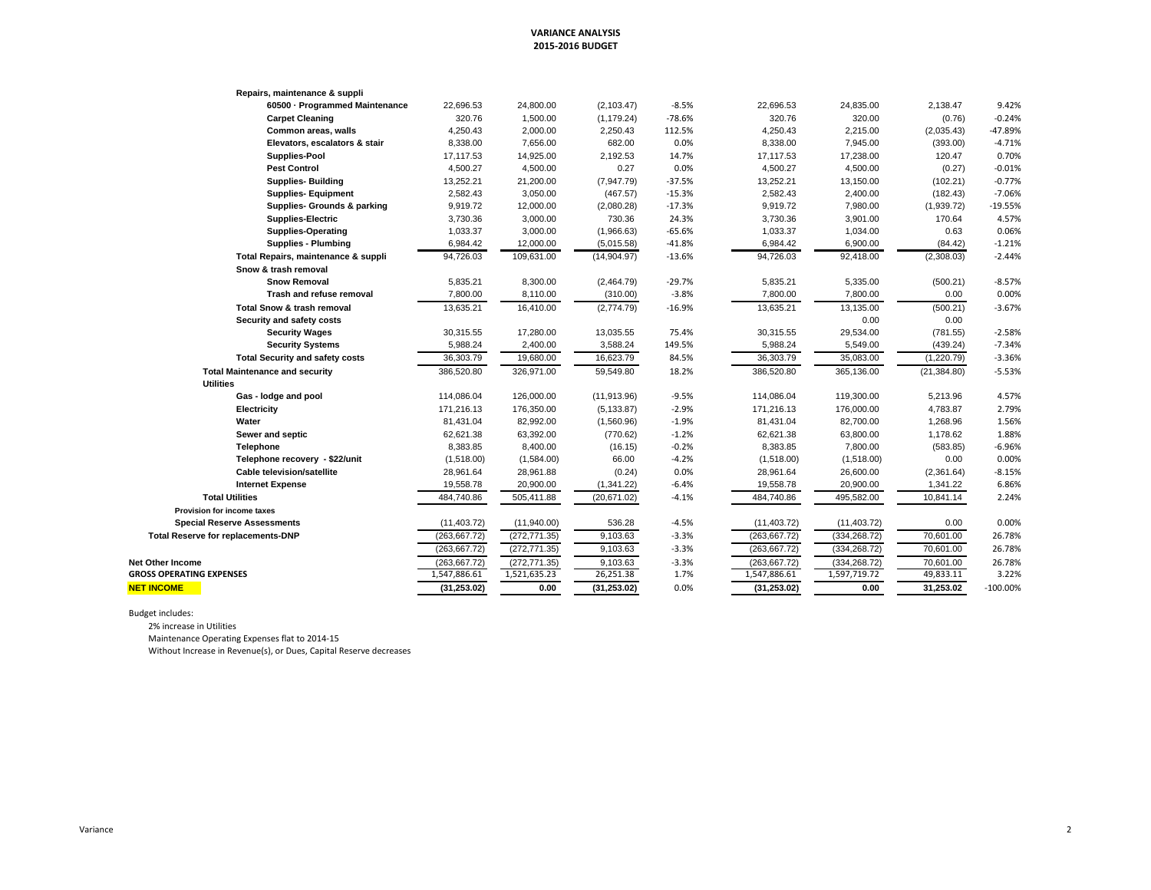### **VARIANCE ANALYSIS 2015‐2016 BUDGET**

| 60500 · Programmed Maintenance<br>$-8.5%$<br>22,696.53<br>9.42%<br>22,696.53<br>24,800.00<br>(2, 103.47)<br>24,835.00<br>2,138.47<br>320.76<br>1,500.00<br>$-78.6%$<br>320.76<br>320.00<br>$-0.24%$<br><b>Carpet Cleaning</b><br>(1, 179.24)<br>(0.76)<br>4,250.43<br>2,000.00<br>4,250.43<br>2,215.00<br>-47.89%<br>Common areas, walls<br>2,250.43<br>112.5%<br>(2,035.43)<br>Elevators, escalators & stair<br>8,338.00<br>7,656.00<br>682.00<br>0.0%<br>8,338.00<br>7,945.00<br>$-4.71%$<br>(393.00)<br>Supplies-Pool<br>17,117.53<br>14,925.00<br>2,192.53<br>14.7%<br>17,117.53<br>17,238.00<br>0.70%<br>120.47<br><b>Pest Control</b><br>4,500.27<br>4,500.00<br>0.27<br>0.0%<br>4,500.27<br>4,500.00<br>$-0.01%$<br>(0.27)<br>$-0.77%$<br><b>Supplies- Building</b><br>13,252.21<br>21,200.00<br>(7,947.79)<br>$-37.5%$<br>13,252.21<br>13,150.00<br>(102.21)<br><b>Supplies- Equipment</b><br>2,582.43<br>3,050.00<br>$-15.3%$<br>2,582.43<br>2,400.00<br>$-7.06%$<br>(467.57)<br>(182.43)<br>Supplies- Grounds & parking<br>9,919.72<br>12,000.00<br>$-17.3%$<br>9,919.72<br>7,980.00<br>$-19.55%$<br>(2,080.28)<br>(1,939.72)<br>3,901.00<br>4.57%<br><b>Supplies-Electric</b><br>3,730.36<br>3,000.00<br>730.36<br>24.3%<br>3,730.36<br>170.64<br>0.06%<br><b>Supplies-Operating</b><br>1,033.37<br>3,000.00<br>(1,966.63)<br>$-65.6%$<br>1,033.37<br>1,034.00<br>0.63<br><b>Supplies - Plumbing</b><br>12,000.00<br>$-41.8%$<br>6,984.42<br>6,900.00<br>(84.42)<br>$-1.21%$<br>6,984.42<br>(5,015.58)<br>$-2.44%$<br>94,726.03<br>109,631.00<br>(14,904.97)<br>$-13.6%$<br>94,726.03<br>92,418.00<br>Total Repairs, maintenance & suppli<br>(2,308.03)<br>Snow & trash removal<br><b>Snow Removal</b><br>5,835.21<br>8,300.00<br>$-29.7%$<br>5,835.21<br>5,335.00<br>$-8.57%$<br>(2,464.79)<br>(500.21)<br>7,800.00<br>$-3.8%$<br>7,800.00<br>7,800.00<br>0.00%<br>Trash and refuse removal<br>8,110.00<br>(310.00)<br>0.00<br><b>Total Snow &amp; trash removal</b><br>13,635.21<br>(2,774.79)<br>$-16.9%$<br>13,635.21<br>13,135.00<br>(500.21)<br>$-3.67%$<br>16,410.00<br>Security and safety costs<br>0.00<br>0.00<br><b>Security Wages</b><br>30.315.55<br>17,280.00<br>13,035.55<br>75.4%<br>30,315.55<br>29,534.00<br>$-2.58%$<br>(781.55)<br><b>Security Systems</b><br>5,988.24<br>2,400.00<br>149.5%<br>5,988.24<br>5,549.00<br>$-7.34%$<br>3,588.24<br>(439.24)<br>$-3.36%$<br><b>Total Security and safety costs</b><br>36,303.79<br>19,680.00<br>16,623.79<br>84.5%<br>36,303.79<br>35,083.00<br>(1,220.79)<br><b>Total Maintenance and security</b><br>386,520.80<br>326,971.00<br>59,549.80<br>386,520.80<br>365,136.00<br>$-5.53%$<br>18.2%<br>(21, 384.80)<br><b>Utilities</b><br>114,086.04<br>4.57%<br>Gas - lodge and pool<br>114,086.04<br>126,000.00<br>(11, 913.96)<br>$-9.5%$<br>119,300.00<br>5,213.96<br>176,350.00<br>2.79%<br>Electricity<br>171,216.13<br>$-2.9%$<br>171,216.13<br>176,000.00<br>4,783.87<br>(5, 133.87)<br>Water<br>81,431.04<br>82,992.00<br>81,431.04<br>1.56%<br>(1,560.96)<br>$-1.9%$<br>82,700.00<br>1,268.96<br>63,392.00<br>1.88%<br>Sewer and septic<br>62,621.38<br>(770.62)<br>$-1.2%$<br>62,621.38<br>63,800.00<br>1,178.62<br>$-6.96%$<br>8.383.85<br>8,400.00<br>$-0.2%$<br>8.383.85<br>7,800.00<br>Telephone<br>(16.15)<br>(583.85)<br>Telephone recovery - \$22/unit<br>66.00<br>0.00<br>0.00%<br>(1,518.00)<br>(1,584.00)<br>$-4.2%$<br>(1,518.00)<br>(1,518.00)<br><b>Cable television/satellite</b><br>28,961.88<br>0.0%<br>28,961.64<br>$-8.15%$<br>28,961.64<br>(0.24)<br>26,600.00<br>(2,361.64)<br>20,900.00<br>19,558.78<br>20,900.00<br>6.86%<br><b>Internet Expense</b><br>19,558.78<br>(1,341.22)<br>$-6.4%$<br>1,341.22<br>484,740.86<br>495,582.00<br><b>Total Utilities</b><br>505,411.88<br>(20,671.02)<br>$-4.1%$<br>484,740.86<br>10,841.14<br>2.24%<br><b>Provision for income taxes</b><br>0.00%<br><b>Special Reserve Assessments</b><br>(11, 403.72)<br>(11,940.00)<br>536.28<br>$-4.5%$<br>(11, 403.72)<br>(11, 403.72)<br>0.00<br><b>Total Reserve for replacements-DNP</b><br>(263, 667.72)<br>(272, 771.35)<br>9,103.63<br>(263, 667.72)<br>(334, 268.72)<br>70,601.00<br>26.78%<br>$-3.3%$<br>(263, 667.72)<br>9,103.63<br>(263, 667.72)<br>70,601.00<br>(272, 771.35)<br>$-3.3%$<br>(334, 268.72)<br>26.78%<br>9,103.63<br>70,601.00<br>26.78%<br>(263, 667.72)<br>(272, 771.35)<br>$-3.3%$<br>(263, 667.72)<br>(334, 268.72)<br>1,521,635.23<br><b>GROSS OPERATING EXPENSES</b><br>1,547,886.61<br>26,251.38<br>1,547,886.61<br>1,597,719.72<br>49,833.11<br>3.22%<br>1.7%<br>31.253.02<br>(31, 253.02)<br>0.00<br>(31, 253.02)<br>0.0%<br>(31, 253.02)<br>0.00<br>$-100.00%$ |                         | Repairs, maintenance & suppli |  |  |  |  |
|-------------------------------------------------------------------------------------------------------------------------------------------------------------------------------------------------------------------------------------------------------------------------------------------------------------------------------------------------------------------------------------------------------------------------------------------------------------------------------------------------------------------------------------------------------------------------------------------------------------------------------------------------------------------------------------------------------------------------------------------------------------------------------------------------------------------------------------------------------------------------------------------------------------------------------------------------------------------------------------------------------------------------------------------------------------------------------------------------------------------------------------------------------------------------------------------------------------------------------------------------------------------------------------------------------------------------------------------------------------------------------------------------------------------------------------------------------------------------------------------------------------------------------------------------------------------------------------------------------------------------------------------------------------------------------------------------------------------------------------------------------------------------------------------------------------------------------------------------------------------------------------------------------------------------------------------------------------------------------------------------------------------------------------------------------------------------------------------------------------------------------------------------------------------------------------------------------------------------------------------------------------------------------------------------------------------------------------------------------------------------------------------------------------------------------------------------------------------------------------------------------------------------------------------------------------------------------------------------------------------------------------------------------------------------------------------------------------------------------------------------------------------------------------------------------------------------------------------------------------------------------------------------------------------------------------------------------------------------------------------------------------------------------------------------------------------------------------------------------------------------------------------------------------------------------------------------------------------------------------------------------------------------------------------------------------------------------------------------------------------------------------------------------------------------------------------------------------------------------------------------------------------------------------------------------------------------------------------------------------------------------------------------------------------------------------------------------------------------------------------------------------------------------------------------------------------------------------------------------------------------------------------------------------------------------------------------------------------------------------------------------------------------------------------------------------------------------------------------------------------------------------------------------------------------------------------------------------------------------------------------------------------------------------------------------------------------------------------------------------------------------------------------------------------------------------------------------------------------------------------------------------------------------------------------------------------------------------------------------------------------------------------------------------------------------------|-------------------------|-------------------------------|--|--|--|--|
|                                                                                                                                                                                                                                                                                                                                                                                                                                                                                                                                                                                                                                                                                                                                                                                                                                                                                                                                                                                                                                                                                                                                                                                                                                                                                                                                                                                                                                                                                                                                                                                                                                                                                                                                                                                                                                                                                                                                                                                                                                                                                                                                                                                                                                                                                                                                                                                                                                                                                                                                                                                                                                                                                                                                                                                                                                                                                                                                                                                                                                                                                                                                                                                                                                                                                                                                                                                                                                                                                                                                                                                                                                                                                                                                                                                                                                                                                                                                                                                                                                                                                                                                                                                                                                                                                                                                                                                                                                                                                                                                                                                                                                                                                     |                         |                               |  |  |  |  |
|                                                                                                                                                                                                                                                                                                                                                                                                                                                                                                                                                                                                                                                                                                                                                                                                                                                                                                                                                                                                                                                                                                                                                                                                                                                                                                                                                                                                                                                                                                                                                                                                                                                                                                                                                                                                                                                                                                                                                                                                                                                                                                                                                                                                                                                                                                                                                                                                                                                                                                                                                                                                                                                                                                                                                                                                                                                                                                                                                                                                                                                                                                                                                                                                                                                                                                                                                                                                                                                                                                                                                                                                                                                                                                                                                                                                                                                                                                                                                                                                                                                                                                                                                                                                                                                                                                                                                                                                                                                                                                                                                                                                                                                                                     |                         |                               |  |  |  |  |
|                                                                                                                                                                                                                                                                                                                                                                                                                                                                                                                                                                                                                                                                                                                                                                                                                                                                                                                                                                                                                                                                                                                                                                                                                                                                                                                                                                                                                                                                                                                                                                                                                                                                                                                                                                                                                                                                                                                                                                                                                                                                                                                                                                                                                                                                                                                                                                                                                                                                                                                                                                                                                                                                                                                                                                                                                                                                                                                                                                                                                                                                                                                                                                                                                                                                                                                                                                                                                                                                                                                                                                                                                                                                                                                                                                                                                                                                                                                                                                                                                                                                                                                                                                                                                                                                                                                                                                                                                                                                                                                                                                                                                                                                                     |                         |                               |  |  |  |  |
|                                                                                                                                                                                                                                                                                                                                                                                                                                                                                                                                                                                                                                                                                                                                                                                                                                                                                                                                                                                                                                                                                                                                                                                                                                                                                                                                                                                                                                                                                                                                                                                                                                                                                                                                                                                                                                                                                                                                                                                                                                                                                                                                                                                                                                                                                                                                                                                                                                                                                                                                                                                                                                                                                                                                                                                                                                                                                                                                                                                                                                                                                                                                                                                                                                                                                                                                                                                                                                                                                                                                                                                                                                                                                                                                                                                                                                                                                                                                                                                                                                                                                                                                                                                                                                                                                                                                                                                                                                                                                                                                                                                                                                                                                     |                         |                               |  |  |  |  |
|                                                                                                                                                                                                                                                                                                                                                                                                                                                                                                                                                                                                                                                                                                                                                                                                                                                                                                                                                                                                                                                                                                                                                                                                                                                                                                                                                                                                                                                                                                                                                                                                                                                                                                                                                                                                                                                                                                                                                                                                                                                                                                                                                                                                                                                                                                                                                                                                                                                                                                                                                                                                                                                                                                                                                                                                                                                                                                                                                                                                                                                                                                                                                                                                                                                                                                                                                                                                                                                                                                                                                                                                                                                                                                                                                                                                                                                                                                                                                                                                                                                                                                                                                                                                                                                                                                                                                                                                                                                                                                                                                                                                                                                                                     |                         |                               |  |  |  |  |
|                                                                                                                                                                                                                                                                                                                                                                                                                                                                                                                                                                                                                                                                                                                                                                                                                                                                                                                                                                                                                                                                                                                                                                                                                                                                                                                                                                                                                                                                                                                                                                                                                                                                                                                                                                                                                                                                                                                                                                                                                                                                                                                                                                                                                                                                                                                                                                                                                                                                                                                                                                                                                                                                                                                                                                                                                                                                                                                                                                                                                                                                                                                                                                                                                                                                                                                                                                                                                                                                                                                                                                                                                                                                                                                                                                                                                                                                                                                                                                                                                                                                                                                                                                                                                                                                                                                                                                                                                                                                                                                                                                                                                                                                                     |                         |                               |  |  |  |  |
|                                                                                                                                                                                                                                                                                                                                                                                                                                                                                                                                                                                                                                                                                                                                                                                                                                                                                                                                                                                                                                                                                                                                                                                                                                                                                                                                                                                                                                                                                                                                                                                                                                                                                                                                                                                                                                                                                                                                                                                                                                                                                                                                                                                                                                                                                                                                                                                                                                                                                                                                                                                                                                                                                                                                                                                                                                                                                                                                                                                                                                                                                                                                                                                                                                                                                                                                                                                                                                                                                                                                                                                                                                                                                                                                                                                                                                                                                                                                                                                                                                                                                                                                                                                                                                                                                                                                                                                                                                                                                                                                                                                                                                                                                     |                         |                               |  |  |  |  |
|                                                                                                                                                                                                                                                                                                                                                                                                                                                                                                                                                                                                                                                                                                                                                                                                                                                                                                                                                                                                                                                                                                                                                                                                                                                                                                                                                                                                                                                                                                                                                                                                                                                                                                                                                                                                                                                                                                                                                                                                                                                                                                                                                                                                                                                                                                                                                                                                                                                                                                                                                                                                                                                                                                                                                                                                                                                                                                                                                                                                                                                                                                                                                                                                                                                                                                                                                                                                                                                                                                                                                                                                                                                                                                                                                                                                                                                                                                                                                                                                                                                                                                                                                                                                                                                                                                                                                                                                                                                                                                                                                                                                                                                                                     |                         |                               |  |  |  |  |
|                                                                                                                                                                                                                                                                                                                                                                                                                                                                                                                                                                                                                                                                                                                                                                                                                                                                                                                                                                                                                                                                                                                                                                                                                                                                                                                                                                                                                                                                                                                                                                                                                                                                                                                                                                                                                                                                                                                                                                                                                                                                                                                                                                                                                                                                                                                                                                                                                                                                                                                                                                                                                                                                                                                                                                                                                                                                                                                                                                                                                                                                                                                                                                                                                                                                                                                                                                                                                                                                                                                                                                                                                                                                                                                                                                                                                                                                                                                                                                                                                                                                                                                                                                                                                                                                                                                                                                                                                                                                                                                                                                                                                                                                                     |                         |                               |  |  |  |  |
|                                                                                                                                                                                                                                                                                                                                                                                                                                                                                                                                                                                                                                                                                                                                                                                                                                                                                                                                                                                                                                                                                                                                                                                                                                                                                                                                                                                                                                                                                                                                                                                                                                                                                                                                                                                                                                                                                                                                                                                                                                                                                                                                                                                                                                                                                                                                                                                                                                                                                                                                                                                                                                                                                                                                                                                                                                                                                                                                                                                                                                                                                                                                                                                                                                                                                                                                                                                                                                                                                                                                                                                                                                                                                                                                                                                                                                                                                                                                                                                                                                                                                                                                                                                                                                                                                                                                                                                                                                                                                                                                                                                                                                                                                     |                         |                               |  |  |  |  |
|                                                                                                                                                                                                                                                                                                                                                                                                                                                                                                                                                                                                                                                                                                                                                                                                                                                                                                                                                                                                                                                                                                                                                                                                                                                                                                                                                                                                                                                                                                                                                                                                                                                                                                                                                                                                                                                                                                                                                                                                                                                                                                                                                                                                                                                                                                                                                                                                                                                                                                                                                                                                                                                                                                                                                                                                                                                                                                                                                                                                                                                                                                                                                                                                                                                                                                                                                                                                                                                                                                                                                                                                                                                                                                                                                                                                                                                                                                                                                                                                                                                                                                                                                                                                                                                                                                                                                                                                                                                                                                                                                                                                                                                                                     |                         |                               |  |  |  |  |
|                                                                                                                                                                                                                                                                                                                                                                                                                                                                                                                                                                                                                                                                                                                                                                                                                                                                                                                                                                                                                                                                                                                                                                                                                                                                                                                                                                                                                                                                                                                                                                                                                                                                                                                                                                                                                                                                                                                                                                                                                                                                                                                                                                                                                                                                                                                                                                                                                                                                                                                                                                                                                                                                                                                                                                                                                                                                                                                                                                                                                                                                                                                                                                                                                                                                                                                                                                                                                                                                                                                                                                                                                                                                                                                                                                                                                                                                                                                                                                                                                                                                                                                                                                                                                                                                                                                                                                                                                                                                                                                                                                                                                                                                                     |                         |                               |  |  |  |  |
|                                                                                                                                                                                                                                                                                                                                                                                                                                                                                                                                                                                                                                                                                                                                                                                                                                                                                                                                                                                                                                                                                                                                                                                                                                                                                                                                                                                                                                                                                                                                                                                                                                                                                                                                                                                                                                                                                                                                                                                                                                                                                                                                                                                                                                                                                                                                                                                                                                                                                                                                                                                                                                                                                                                                                                                                                                                                                                                                                                                                                                                                                                                                                                                                                                                                                                                                                                                                                                                                                                                                                                                                                                                                                                                                                                                                                                                                                                                                                                                                                                                                                                                                                                                                                                                                                                                                                                                                                                                                                                                                                                                                                                                                                     |                         |                               |  |  |  |  |
|                                                                                                                                                                                                                                                                                                                                                                                                                                                                                                                                                                                                                                                                                                                                                                                                                                                                                                                                                                                                                                                                                                                                                                                                                                                                                                                                                                                                                                                                                                                                                                                                                                                                                                                                                                                                                                                                                                                                                                                                                                                                                                                                                                                                                                                                                                                                                                                                                                                                                                                                                                                                                                                                                                                                                                                                                                                                                                                                                                                                                                                                                                                                                                                                                                                                                                                                                                                                                                                                                                                                                                                                                                                                                                                                                                                                                                                                                                                                                                                                                                                                                                                                                                                                                                                                                                                                                                                                                                                                                                                                                                                                                                                                                     |                         |                               |  |  |  |  |
|                                                                                                                                                                                                                                                                                                                                                                                                                                                                                                                                                                                                                                                                                                                                                                                                                                                                                                                                                                                                                                                                                                                                                                                                                                                                                                                                                                                                                                                                                                                                                                                                                                                                                                                                                                                                                                                                                                                                                                                                                                                                                                                                                                                                                                                                                                                                                                                                                                                                                                                                                                                                                                                                                                                                                                                                                                                                                                                                                                                                                                                                                                                                                                                                                                                                                                                                                                                                                                                                                                                                                                                                                                                                                                                                                                                                                                                                                                                                                                                                                                                                                                                                                                                                                                                                                                                                                                                                                                                                                                                                                                                                                                                                                     |                         |                               |  |  |  |  |
|                                                                                                                                                                                                                                                                                                                                                                                                                                                                                                                                                                                                                                                                                                                                                                                                                                                                                                                                                                                                                                                                                                                                                                                                                                                                                                                                                                                                                                                                                                                                                                                                                                                                                                                                                                                                                                                                                                                                                                                                                                                                                                                                                                                                                                                                                                                                                                                                                                                                                                                                                                                                                                                                                                                                                                                                                                                                                                                                                                                                                                                                                                                                                                                                                                                                                                                                                                                                                                                                                                                                                                                                                                                                                                                                                                                                                                                                                                                                                                                                                                                                                                                                                                                                                                                                                                                                                                                                                                                                                                                                                                                                                                                                                     |                         |                               |  |  |  |  |
|                                                                                                                                                                                                                                                                                                                                                                                                                                                                                                                                                                                                                                                                                                                                                                                                                                                                                                                                                                                                                                                                                                                                                                                                                                                                                                                                                                                                                                                                                                                                                                                                                                                                                                                                                                                                                                                                                                                                                                                                                                                                                                                                                                                                                                                                                                                                                                                                                                                                                                                                                                                                                                                                                                                                                                                                                                                                                                                                                                                                                                                                                                                                                                                                                                                                                                                                                                                                                                                                                                                                                                                                                                                                                                                                                                                                                                                                                                                                                                                                                                                                                                                                                                                                                                                                                                                                                                                                                                                                                                                                                                                                                                                                                     |                         |                               |  |  |  |  |
|                                                                                                                                                                                                                                                                                                                                                                                                                                                                                                                                                                                                                                                                                                                                                                                                                                                                                                                                                                                                                                                                                                                                                                                                                                                                                                                                                                                                                                                                                                                                                                                                                                                                                                                                                                                                                                                                                                                                                                                                                                                                                                                                                                                                                                                                                                                                                                                                                                                                                                                                                                                                                                                                                                                                                                                                                                                                                                                                                                                                                                                                                                                                                                                                                                                                                                                                                                                                                                                                                                                                                                                                                                                                                                                                                                                                                                                                                                                                                                                                                                                                                                                                                                                                                                                                                                                                                                                                                                                                                                                                                                                                                                                                                     |                         |                               |  |  |  |  |
|                                                                                                                                                                                                                                                                                                                                                                                                                                                                                                                                                                                                                                                                                                                                                                                                                                                                                                                                                                                                                                                                                                                                                                                                                                                                                                                                                                                                                                                                                                                                                                                                                                                                                                                                                                                                                                                                                                                                                                                                                                                                                                                                                                                                                                                                                                                                                                                                                                                                                                                                                                                                                                                                                                                                                                                                                                                                                                                                                                                                                                                                                                                                                                                                                                                                                                                                                                                                                                                                                                                                                                                                                                                                                                                                                                                                                                                                                                                                                                                                                                                                                                                                                                                                                                                                                                                                                                                                                                                                                                                                                                                                                                                                                     |                         |                               |  |  |  |  |
|                                                                                                                                                                                                                                                                                                                                                                                                                                                                                                                                                                                                                                                                                                                                                                                                                                                                                                                                                                                                                                                                                                                                                                                                                                                                                                                                                                                                                                                                                                                                                                                                                                                                                                                                                                                                                                                                                                                                                                                                                                                                                                                                                                                                                                                                                                                                                                                                                                                                                                                                                                                                                                                                                                                                                                                                                                                                                                                                                                                                                                                                                                                                                                                                                                                                                                                                                                                                                                                                                                                                                                                                                                                                                                                                                                                                                                                                                                                                                                                                                                                                                                                                                                                                                                                                                                                                                                                                                                                                                                                                                                                                                                                                                     |                         |                               |  |  |  |  |
|                                                                                                                                                                                                                                                                                                                                                                                                                                                                                                                                                                                                                                                                                                                                                                                                                                                                                                                                                                                                                                                                                                                                                                                                                                                                                                                                                                                                                                                                                                                                                                                                                                                                                                                                                                                                                                                                                                                                                                                                                                                                                                                                                                                                                                                                                                                                                                                                                                                                                                                                                                                                                                                                                                                                                                                                                                                                                                                                                                                                                                                                                                                                                                                                                                                                                                                                                                                                                                                                                                                                                                                                                                                                                                                                                                                                                                                                                                                                                                                                                                                                                                                                                                                                                                                                                                                                                                                                                                                                                                                                                                                                                                                                                     |                         |                               |  |  |  |  |
|                                                                                                                                                                                                                                                                                                                                                                                                                                                                                                                                                                                                                                                                                                                                                                                                                                                                                                                                                                                                                                                                                                                                                                                                                                                                                                                                                                                                                                                                                                                                                                                                                                                                                                                                                                                                                                                                                                                                                                                                                                                                                                                                                                                                                                                                                                                                                                                                                                                                                                                                                                                                                                                                                                                                                                                                                                                                                                                                                                                                                                                                                                                                                                                                                                                                                                                                                                                                                                                                                                                                                                                                                                                                                                                                                                                                                                                                                                                                                                                                                                                                                                                                                                                                                                                                                                                                                                                                                                                                                                                                                                                                                                                                                     |                         |                               |  |  |  |  |
|                                                                                                                                                                                                                                                                                                                                                                                                                                                                                                                                                                                                                                                                                                                                                                                                                                                                                                                                                                                                                                                                                                                                                                                                                                                                                                                                                                                                                                                                                                                                                                                                                                                                                                                                                                                                                                                                                                                                                                                                                                                                                                                                                                                                                                                                                                                                                                                                                                                                                                                                                                                                                                                                                                                                                                                                                                                                                                                                                                                                                                                                                                                                                                                                                                                                                                                                                                                                                                                                                                                                                                                                                                                                                                                                                                                                                                                                                                                                                                                                                                                                                                                                                                                                                                                                                                                                                                                                                                                                                                                                                                                                                                                                                     |                         |                               |  |  |  |  |
|                                                                                                                                                                                                                                                                                                                                                                                                                                                                                                                                                                                                                                                                                                                                                                                                                                                                                                                                                                                                                                                                                                                                                                                                                                                                                                                                                                                                                                                                                                                                                                                                                                                                                                                                                                                                                                                                                                                                                                                                                                                                                                                                                                                                                                                                                                                                                                                                                                                                                                                                                                                                                                                                                                                                                                                                                                                                                                                                                                                                                                                                                                                                                                                                                                                                                                                                                                                                                                                                                                                                                                                                                                                                                                                                                                                                                                                                                                                                                                                                                                                                                                                                                                                                                                                                                                                                                                                                                                                                                                                                                                                                                                                                                     |                         |                               |  |  |  |  |
|                                                                                                                                                                                                                                                                                                                                                                                                                                                                                                                                                                                                                                                                                                                                                                                                                                                                                                                                                                                                                                                                                                                                                                                                                                                                                                                                                                                                                                                                                                                                                                                                                                                                                                                                                                                                                                                                                                                                                                                                                                                                                                                                                                                                                                                                                                                                                                                                                                                                                                                                                                                                                                                                                                                                                                                                                                                                                                                                                                                                                                                                                                                                                                                                                                                                                                                                                                                                                                                                                                                                                                                                                                                                                                                                                                                                                                                                                                                                                                                                                                                                                                                                                                                                                                                                                                                                                                                                                                                                                                                                                                                                                                                                                     |                         |                               |  |  |  |  |
|                                                                                                                                                                                                                                                                                                                                                                                                                                                                                                                                                                                                                                                                                                                                                                                                                                                                                                                                                                                                                                                                                                                                                                                                                                                                                                                                                                                                                                                                                                                                                                                                                                                                                                                                                                                                                                                                                                                                                                                                                                                                                                                                                                                                                                                                                                                                                                                                                                                                                                                                                                                                                                                                                                                                                                                                                                                                                                                                                                                                                                                                                                                                                                                                                                                                                                                                                                                                                                                                                                                                                                                                                                                                                                                                                                                                                                                                                                                                                                                                                                                                                                                                                                                                                                                                                                                                                                                                                                                                                                                                                                                                                                                                                     |                         |                               |  |  |  |  |
|                                                                                                                                                                                                                                                                                                                                                                                                                                                                                                                                                                                                                                                                                                                                                                                                                                                                                                                                                                                                                                                                                                                                                                                                                                                                                                                                                                                                                                                                                                                                                                                                                                                                                                                                                                                                                                                                                                                                                                                                                                                                                                                                                                                                                                                                                                                                                                                                                                                                                                                                                                                                                                                                                                                                                                                                                                                                                                                                                                                                                                                                                                                                                                                                                                                                                                                                                                                                                                                                                                                                                                                                                                                                                                                                                                                                                                                                                                                                                                                                                                                                                                                                                                                                                                                                                                                                                                                                                                                                                                                                                                                                                                                                                     |                         |                               |  |  |  |  |
|                                                                                                                                                                                                                                                                                                                                                                                                                                                                                                                                                                                                                                                                                                                                                                                                                                                                                                                                                                                                                                                                                                                                                                                                                                                                                                                                                                                                                                                                                                                                                                                                                                                                                                                                                                                                                                                                                                                                                                                                                                                                                                                                                                                                                                                                                                                                                                                                                                                                                                                                                                                                                                                                                                                                                                                                                                                                                                                                                                                                                                                                                                                                                                                                                                                                                                                                                                                                                                                                                                                                                                                                                                                                                                                                                                                                                                                                                                                                                                                                                                                                                                                                                                                                                                                                                                                                                                                                                                                                                                                                                                                                                                                                                     |                         |                               |  |  |  |  |
|                                                                                                                                                                                                                                                                                                                                                                                                                                                                                                                                                                                                                                                                                                                                                                                                                                                                                                                                                                                                                                                                                                                                                                                                                                                                                                                                                                                                                                                                                                                                                                                                                                                                                                                                                                                                                                                                                                                                                                                                                                                                                                                                                                                                                                                                                                                                                                                                                                                                                                                                                                                                                                                                                                                                                                                                                                                                                                                                                                                                                                                                                                                                                                                                                                                                                                                                                                                                                                                                                                                                                                                                                                                                                                                                                                                                                                                                                                                                                                                                                                                                                                                                                                                                                                                                                                                                                                                                                                                                                                                                                                                                                                                                                     |                         |                               |  |  |  |  |
|                                                                                                                                                                                                                                                                                                                                                                                                                                                                                                                                                                                                                                                                                                                                                                                                                                                                                                                                                                                                                                                                                                                                                                                                                                                                                                                                                                                                                                                                                                                                                                                                                                                                                                                                                                                                                                                                                                                                                                                                                                                                                                                                                                                                                                                                                                                                                                                                                                                                                                                                                                                                                                                                                                                                                                                                                                                                                                                                                                                                                                                                                                                                                                                                                                                                                                                                                                                                                                                                                                                                                                                                                                                                                                                                                                                                                                                                                                                                                                                                                                                                                                                                                                                                                                                                                                                                                                                                                                                                                                                                                                                                                                                                                     |                         |                               |  |  |  |  |
|                                                                                                                                                                                                                                                                                                                                                                                                                                                                                                                                                                                                                                                                                                                                                                                                                                                                                                                                                                                                                                                                                                                                                                                                                                                                                                                                                                                                                                                                                                                                                                                                                                                                                                                                                                                                                                                                                                                                                                                                                                                                                                                                                                                                                                                                                                                                                                                                                                                                                                                                                                                                                                                                                                                                                                                                                                                                                                                                                                                                                                                                                                                                                                                                                                                                                                                                                                                                                                                                                                                                                                                                                                                                                                                                                                                                                                                                                                                                                                                                                                                                                                                                                                                                                                                                                                                                                                                                                                                                                                                                                                                                                                                                                     |                         |                               |  |  |  |  |
|                                                                                                                                                                                                                                                                                                                                                                                                                                                                                                                                                                                                                                                                                                                                                                                                                                                                                                                                                                                                                                                                                                                                                                                                                                                                                                                                                                                                                                                                                                                                                                                                                                                                                                                                                                                                                                                                                                                                                                                                                                                                                                                                                                                                                                                                                                                                                                                                                                                                                                                                                                                                                                                                                                                                                                                                                                                                                                                                                                                                                                                                                                                                                                                                                                                                                                                                                                                                                                                                                                                                                                                                                                                                                                                                                                                                                                                                                                                                                                                                                                                                                                                                                                                                                                                                                                                                                                                                                                                                                                                                                                                                                                                                                     |                         |                               |  |  |  |  |
|                                                                                                                                                                                                                                                                                                                                                                                                                                                                                                                                                                                                                                                                                                                                                                                                                                                                                                                                                                                                                                                                                                                                                                                                                                                                                                                                                                                                                                                                                                                                                                                                                                                                                                                                                                                                                                                                                                                                                                                                                                                                                                                                                                                                                                                                                                                                                                                                                                                                                                                                                                                                                                                                                                                                                                                                                                                                                                                                                                                                                                                                                                                                                                                                                                                                                                                                                                                                                                                                                                                                                                                                                                                                                                                                                                                                                                                                                                                                                                                                                                                                                                                                                                                                                                                                                                                                                                                                                                                                                                                                                                                                                                                                                     |                         |                               |  |  |  |  |
|                                                                                                                                                                                                                                                                                                                                                                                                                                                                                                                                                                                                                                                                                                                                                                                                                                                                                                                                                                                                                                                                                                                                                                                                                                                                                                                                                                                                                                                                                                                                                                                                                                                                                                                                                                                                                                                                                                                                                                                                                                                                                                                                                                                                                                                                                                                                                                                                                                                                                                                                                                                                                                                                                                                                                                                                                                                                                                                                                                                                                                                                                                                                                                                                                                                                                                                                                                                                                                                                                                                                                                                                                                                                                                                                                                                                                                                                                                                                                                                                                                                                                                                                                                                                                                                                                                                                                                                                                                                                                                                                                                                                                                                                                     |                         |                               |  |  |  |  |
|                                                                                                                                                                                                                                                                                                                                                                                                                                                                                                                                                                                                                                                                                                                                                                                                                                                                                                                                                                                                                                                                                                                                                                                                                                                                                                                                                                                                                                                                                                                                                                                                                                                                                                                                                                                                                                                                                                                                                                                                                                                                                                                                                                                                                                                                                                                                                                                                                                                                                                                                                                                                                                                                                                                                                                                                                                                                                                                                                                                                                                                                                                                                                                                                                                                                                                                                                                                                                                                                                                                                                                                                                                                                                                                                                                                                                                                                                                                                                                                                                                                                                                                                                                                                                                                                                                                                                                                                                                                                                                                                                                                                                                                                                     |                         |                               |  |  |  |  |
|                                                                                                                                                                                                                                                                                                                                                                                                                                                                                                                                                                                                                                                                                                                                                                                                                                                                                                                                                                                                                                                                                                                                                                                                                                                                                                                                                                                                                                                                                                                                                                                                                                                                                                                                                                                                                                                                                                                                                                                                                                                                                                                                                                                                                                                                                                                                                                                                                                                                                                                                                                                                                                                                                                                                                                                                                                                                                                                                                                                                                                                                                                                                                                                                                                                                                                                                                                                                                                                                                                                                                                                                                                                                                                                                                                                                                                                                                                                                                                                                                                                                                                                                                                                                                                                                                                                                                                                                                                                                                                                                                                                                                                                                                     | <b>Net Other Income</b> |                               |  |  |  |  |
|                                                                                                                                                                                                                                                                                                                                                                                                                                                                                                                                                                                                                                                                                                                                                                                                                                                                                                                                                                                                                                                                                                                                                                                                                                                                                                                                                                                                                                                                                                                                                                                                                                                                                                                                                                                                                                                                                                                                                                                                                                                                                                                                                                                                                                                                                                                                                                                                                                                                                                                                                                                                                                                                                                                                                                                                                                                                                                                                                                                                                                                                                                                                                                                                                                                                                                                                                                                                                                                                                                                                                                                                                                                                                                                                                                                                                                                                                                                                                                                                                                                                                                                                                                                                                                                                                                                                                                                                                                                                                                                                                                                                                                                                                     |                         |                               |  |  |  |  |
|                                                                                                                                                                                                                                                                                                                                                                                                                                                                                                                                                                                                                                                                                                                                                                                                                                                                                                                                                                                                                                                                                                                                                                                                                                                                                                                                                                                                                                                                                                                                                                                                                                                                                                                                                                                                                                                                                                                                                                                                                                                                                                                                                                                                                                                                                                                                                                                                                                                                                                                                                                                                                                                                                                                                                                                                                                                                                                                                                                                                                                                                                                                                                                                                                                                                                                                                                                                                                                                                                                                                                                                                                                                                                                                                                                                                                                                                                                                                                                                                                                                                                                                                                                                                                                                                                                                                                                                                                                                                                                                                                                                                                                                                                     | <b>NET INCOME</b>       |                               |  |  |  |  |

### Budget includes:

2% increase in Utilities

Maintenance Operating Expenses flat to 2014‐15

Without Increase in Revenue(s), or Dues, Capital Reserve decreases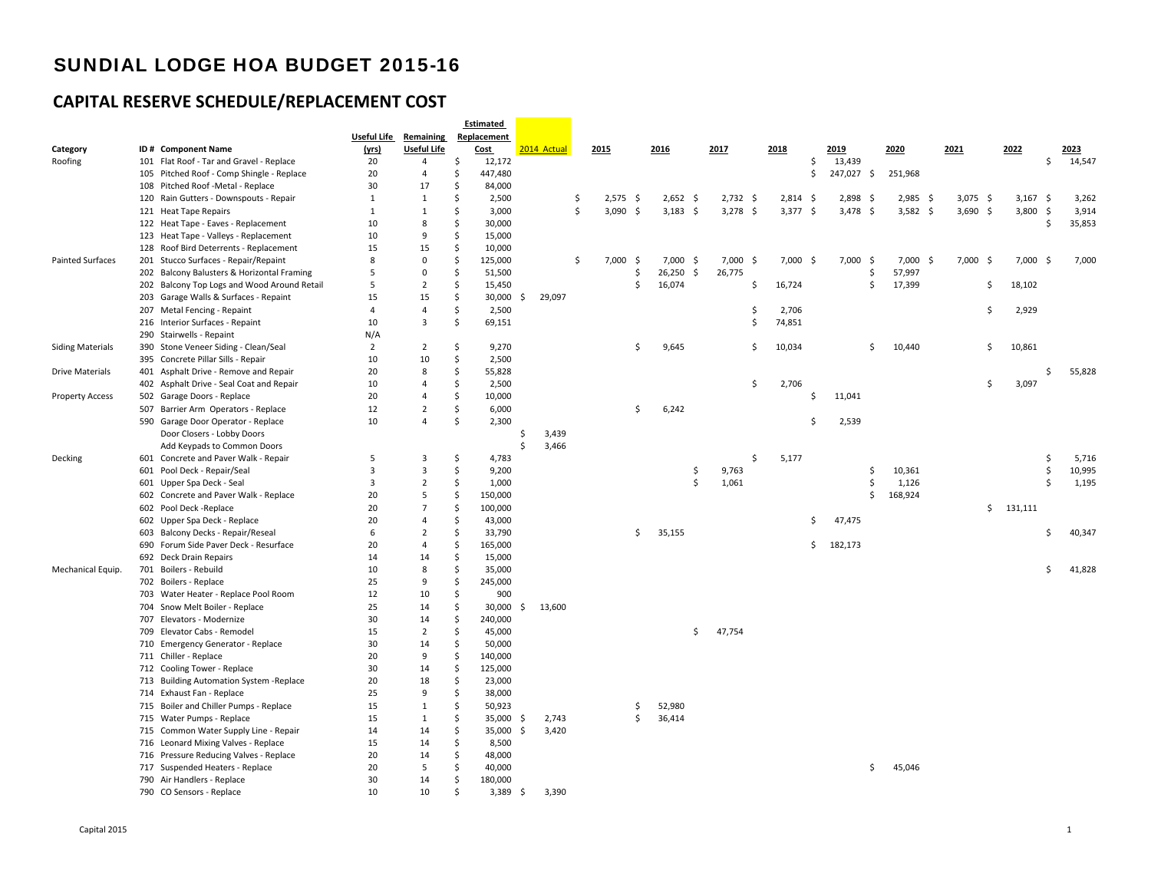|                         |                                             |                    |                         |    | <b>Estimated</b> |        |             |    |            |     |             |    |            |                    |            |      |            |     |            |            |           |            |      |        |
|-------------------------|---------------------------------------------|--------------------|-------------------------|----|------------------|--------|-------------|----|------------|-----|-------------|----|------------|--------------------|------------|------|------------|-----|------------|------------|-----------|------------|------|--------|
|                         |                                             | <b>Useful Life</b> | Remaining               |    | Replacement      |        |             |    |            |     |             |    |            |                    |            |      |            |     |            |            |           |            |      |        |
| Category                | ID # Component Name                         | (yrs)              | <b>Useful Life</b>      |    | Cost             |        | 2014 Actual |    | 2015       |     | 2016        |    | 2017       |                    | 2018       |      | 2019       |     | 2020       | 2021       | 2022      |            |      | 2023   |
| Roofing                 | 101 Flat Roof - Tar and Gravel - Replace    | 20                 | $\overline{4}$          | \$ | 12,172           |        |             |    |            |     |             |    |            |                    |            | \$   | 13,439     |     |            |            |           |            | \$   | 14,547 |
|                         | 105 Pitched Roof - Comp Shingle - Replace   | 20                 | $\overline{4}$          | \$ | 447,480          |        |             |    |            |     |             |    |            |                    |            | \$   | 247,027    | -\$ | 251,968    |            |           |            |      |        |
|                         | 108 Pitched Roof -Metal - Replace           | 30                 | 17                      | \$ | 84,000           |        |             |    |            |     |             |    |            |                    |            |      |            |     |            |            |           |            |      |        |
|                         | 120 Rain Gutters - Downspouts - Repair      | $\mathbf{1}$       | 1                       | \$ | 2,500            |        |             | -Ś | 2,575      | -\$ | $2,652$ \$  |    | $2,732$ \$ |                    | 2,814      | -\$  | 2,898      | -\$ | $2,985$ \$ | $3,075$ \$ |           | 3,167      | - \$ | 3,262  |
|                         | 121 Heat Tape Repairs                       | $\mathbf{1}$       | 1                       | \$ | 3,000            |        |             | -Ś | $3,090$ \$ |     | $3,183$ \$  |    | $3,278$ \$ |                    | 3,377      | - \$ | $3,478$ \$ |     | $3,582$ \$ | $3,690$ \$ |           | 3,800      | -\$  | 3,914  |
|                         | 122 Heat Tape - Eaves - Replacement         | 10                 | 8                       | \$ | 30,000           |        |             |    |            |     |             |    |            |                    |            |      |            |     |            |            |           |            | \$   | 35,853 |
|                         | 123 Heat Tape - Valleys - Replacement       | 10                 | 9                       | \$ | 15,000           |        |             |    |            |     |             |    |            |                    |            |      |            |     |            |            |           |            |      |        |
|                         | 128 Roof Bird Deterrents - Replacement      | 15                 | 15                      | \$ | 10,000           |        |             |    |            |     |             |    |            |                    |            |      |            |     |            |            |           |            |      |        |
| <b>Painted Surfaces</b> | 201 Stucco Surfaces - Repair/Repaint        | 8                  | $\mathsf 0$             | \$ | 125,000          |        |             | \$ | 7,000      | -\$ | $7,000$ \$  |    | 7,000      | - \$               | $7,000$ \$ |      | 7,000      | -\$ | $7,000$ \$ | $7,000$ \$ |           | $7,000$ \$ |      | 7,000  |
|                         | 202 Balcony Balusters & Horizontal Framing  | 5                  | $\Omega$                | \$ | 51,500           |        |             |    |            | Ŝ.  | $26,250$ \$ |    | 26,775     |                    |            |      |            | Ŝ.  | 57,997     |            |           |            |      |        |
|                         | 202 Balcony Top Logs and Wood Around Retail | 5                  | $\overline{2}$          | \$ | 15,450           |        |             |    |            | Ŝ.  | 16,074      |    |            | Ś                  | 16,724     |      |            | Ŝ.  | 17,399     | \$         |           | 18,102     |      |        |
|                         | 203 Garage Walls & Surfaces - Repaint       | 15                 | 15                      | \$ | 30,000           | -S     | 29,097      |    |            |     |             |    |            |                    |            |      |            |     |            |            |           |            |      |        |
|                         | 207 Metal Fencing - Repaint                 | $\overline{4}$     | $\overline{4}$          | \$ | 2,500            |        |             |    |            |     |             |    |            | Ś                  | 2,706      |      |            |     |            | Ŝ          |           | 2,929      |      |        |
|                         | 216 Interior Surfaces - Repaint             | 10                 | $\overline{3}$          | \$ | 69,151           |        |             |    |            |     |             |    |            | Ś                  | 74,851     |      |            |     |            |            |           |            |      |        |
|                         | 290 Stairwells - Repaint                    | N/A                |                         |    |                  |        |             |    |            |     |             |    |            |                    |            |      |            |     |            |            |           |            |      |        |
| <b>Siding Materials</b> | 390 Stone Veneer Siding - Clean/Seal        | $\overline{2}$     | $\overline{2}$          | \$ | 9,270            |        |             |    |            | Ś.  | 9,645       |    |            | \$                 | 10,034     |      |            | Ŝ.  | 10,440     | \$         |           | 10,861     |      |        |
|                         | 395 Concrete Pillar Sills - Repair          | 10                 | 10                      | \$ | 2,500            |        |             |    |            |     |             |    |            |                    |            |      |            |     |            |            |           |            |      |        |
| <b>Drive Materials</b>  | 401 Asphalt Drive - Remove and Repair       | 20                 | 8                       | \$ | 55,828           |        |             |    |            |     |             |    |            |                    |            |      |            |     |            |            |           |            | Ś    | 55,828 |
|                         | 402 Asphalt Drive - Seal Coat and Repair    | 10                 | $\boldsymbol{\Lambda}$  | \$ | 2,500            |        |             |    |            |     |             |    |            | \$                 | 2,706      |      |            |     |            | Ŝ          |           | 3,097      |      |        |
| <b>Property Access</b>  | 502 Garage Doors - Replace                  | 20                 | $\overline{4}$          | \$ | 10,000           |        |             |    |            |     |             |    |            |                    |            | Ŝ.   | 11,041     |     |            |            |           |            |      |        |
|                         | 507 Barrier Arm Operators - Replace         | 12                 | $\overline{2}$          | \$ | 6,000            |        |             |    |            | Ŝ.  | 6,242       |    |            |                    |            |      |            |     |            |            |           |            |      |        |
|                         |                                             | 10                 | $\overline{4}$          | \$ |                  |        |             |    |            |     |             |    |            |                    |            | Ś.   | 2,539      |     |            |            |           |            |      |        |
|                         | 590 Garage Door Operator - Replace          |                    |                         |    | 2,300            |        |             |    |            |     |             |    |            |                    |            |      |            |     |            |            |           |            |      |        |
|                         | Door Closers - Lobby Doors                  |                    |                         |    |                  | Ś<br>Ś | 3,439       |    |            |     |             |    |            |                    |            |      |            |     |            |            |           |            |      |        |
|                         | Add Keypads to Common Doors                 |                    |                         |    |                  |        | 3,466       |    |            |     |             |    |            |                    |            |      |            |     |            |            |           |            |      |        |
| Decking                 | 601 Concrete and Paver Walk - Repair        | 5                  | $\overline{\mathbf{3}}$ | \$ | 4,783            |        |             |    |            |     |             |    |            | $\mathsf{\hat{S}}$ | 5,177      |      |            |     |            |            |           |            | \$   | 5,716  |
|                         | 601 Pool Deck - Repair/Seal                 | 3                  | $\overline{3}$          | \$ | 9,200            |        |             |    |            |     |             | Ŝ  | 9,763      |                    |            |      |            | \$  | 10,361     |            |           |            | Ś.   | 10,995 |
|                         | 601 Upper Spa Deck - Seal                   | 3                  | $\overline{2}$          | \$ | 1,000            |        |             |    |            |     |             | Ŝ. | 1,061      |                    |            |      |            | \$  | 1,126      |            |           |            | Ś.   | 1,195  |
|                         | 602 Concrete and Paver Walk - Replace       | 20                 | 5                       | \$ | 150,000          |        |             |    |            |     |             |    |            |                    |            |      |            | Ŝ.  | 168,924    |            |           |            |      |        |
|                         | 602 Pool Deck - Replace                     | 20                 | $\overline{7}$          | \$ | 100,000          |        |             |    |            |     |             |    |            |                    |            |      |            |     |            |            | \$131,111 |            |      |        |
|                         | 602 Upper Spa Deck - Replace                | 20                 | $\overline{4}$          | \$ | 43,000           |        |             |    |            |     |             |    |            |                    |            | Ś.   | 47,475     |     |            |            |           |            |      |        |
|                         | 603 Balcony Decks - Repair/Reseal           | 6                  | $\overline{2}$          | \$ | 33,790           |        |             |    |            | \$  | 35,155      |    |            |                    |            |      |            |     |            |            |           |            | Ś.   | 40,347 |
|                         | 690 Forum Side Paver Deck - Resurface       | 20                 | $\overline{4}$          | \$ | 165,000          |        |             |    |            |     |             |    |            |                    |            | \$   | 182,173    |     |            |            |           |            |      |        |
|                         | 692 Deck Drain Repairs                      | 14                 | 14                      | \$ | 15,000           |        |             |    |            |     |             |    |            |                    |            |      |            |     |            |            |           |            |      |        |
| Mechanical Equip.       | 701 Boilers - Rebuild                       | 10                 | 8                       | Ŝ. | 35,000           |        |             |    |            |     |             |    |            |                    |            |      |            |     |            |            |           |            | Ś    | 41,828 |
|                         | 702 Boilers - Replace                       | 25                 | 9                       | \$ | 245,000          |        |             |    |            |     |             |    |            |                    |            |      |            |     |            |            |           |            |      |        |
|                         | 703 Water Heater - Replace Pool Room        | 12                 | 10                      | \$ | 900              |        |             |    |            |     |             |    |            |                    |            |      |            |     |            |            |           |            |      |        |
|                         | 704 Snow Melt Boiler - Replace              | 25                 | 14                      | \$ | 30,000           | S      | 13,600      |    |            |     |             |    |            |                    |            |      |            |     |            |            |           |            |      |        |
|                         | 707 Elevators - Modernize                   | 30                 | 14                      | \$ | 240,000          |        |             |    |            |     |             |    |            |                    |            |      |            |     |            |            |           |            |      |        |
|                         | 709 Elevator Cabs - Remodel                 | 15                 | $\overline{2}$          | \$ | 45,000           |        |             |    |            |     |             | \$ | 47,754     |                    |            |      |            |     |            |            |           |            |      |        |
|                         | 710 Emergency Generator - Replace           | 30                 | 14                      | \$ | 50,000           |        |             |    |            |     |             |    |            |                    |            |      |            |     |            |            |           |            |      |        |
|                         | 711 Chiller - Replace                       | 20                 | 9                       | \$ | 140,000          |        |             |    |            |     |             |    |            |                    |            |      |            |     |            |            |           |            |      |        |
|                         | 712 Cooling Tower - Replace                 | 30                 | 14                      | \$ | 125,000          |        |             |    |            |     |             |    |            |                    |            |      |            |     |            |            |           |            |      |        |
|                         | 713 Building Automation System - Replace    | 20                 | 18                      | \$ | 23,000           |        |             |    |            |     |             |    |            |                    |            |      |            |     |            |            |           |            |      |        |
|                         | 714 Exhaust Fan - Replace                   | 25                 | 9                       | \$ | 38,000           |        |             |    |            |     |             |    |            |                    |            |      |            |     |            |            |           |            |      |        |
|                         | 715 Boiler and Chiller Pumps - Replace      | 15                 | 1                       | \$ | 50,923           |        |             |    |            | Ŝ.  | 52,980      |    |            |                    |            |      |            |     |            |            |           |            |      |        |
|                         | 715 Water Pumps - Replace                   | 15                 | $\mathbf{1}$            | \$ | 35,000           | -Ś     | 2,743       |    |            | Ś   | 36,414      |    |            |                    |            |      |            |     |            |            |           |            |      |        |
|                         | 715 Common Water Supply Line - Repair       | 14                 | 14                      | \$ | 35,000           | -\$    | 3,420       |    |            |     |             |    |            |                    |            |      |            |     |            |            |           |            |      |        |
|                         | 716 Leonard Mixing Valves - Replace         | 15                 | 14                      | \$ | 8,500            |        |             |    |            |     |             |    |            |                    |            |      |            |     |            |            |           |            |      |        |
|                         | 716 Pressure Reducing Valves - Replace      | 20                 | 14                      | \$ | 48,000           |        |             |    |            |     |             |    |            |                    |            |      |            |     |            |            |           |            |      |        |
|                         | 717 Suspended Heaters - Replace             | 20                 | 5                       | \$ | 40,000           |        |             |    |            |     |             |    |            |                    |            |      |            | Ŝ.  | 45,046     |            |           |            |      |        |
|                         | 790 Air Handlers - Replace                  | 30                 | 14                      | \$ | 180,000          |        |             |    |            |     |             |    |            |                    |            |      |            |     |            |            |           |            |      |        |
|                         | 790 CO Sensors - Replace                    | 10                 | 10                      | \$ | 3,389            | -\$    | 3,390       |    |            |     |             |    |            |                    |            |      |            |     |            |            |           |            |      |        |
|                         |                                             |                    |                         |    |                  |        |             |    |            |     |             |    |            |                    |            |      |            |     |            |            |           |            |      |        |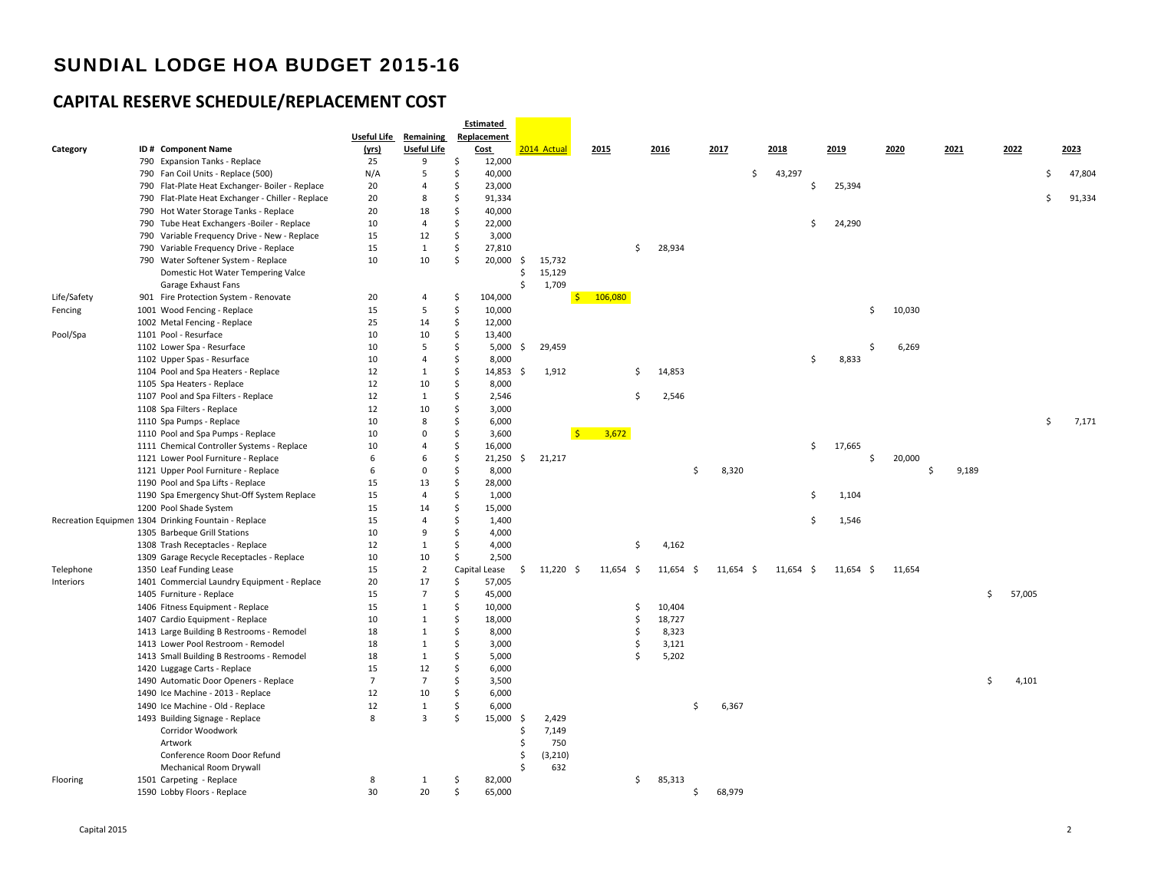|             |                                                      |                    |                      |          | <b>Estimated</b> |               |             |                |    |             |               |             |        |             |                    |        |       |              |    |        |
|-------------|------------------------------------------------------|--------------------|----------------------|----------|------------------|---------------|-------------|----------------|----|-------------|---------------|-------------|--------|-------------|--------------------|--------|-------|--------------|----|--------|
|             |                                                      | <b>Useful Life</b> | Remaining            |          | Replacement      |               |             |                |    |             |               |             |        |             |                    |        |       |              |    |        |
| Category    | ID# Component Name                                   | (yrs)              | <b>Useful Life</b>   |          | Cost             |               | 2014 Actual | 2015           |    | 2016        | 2017          |             | 2018   |             | 2019               | 2020   | 2021  | 2022         |    | 2023   |
|             | 790 Expansion Tanks - Replace                        | 25                 | 9                    | \$       | 12,000           |               |             |                |    |             |               |             |        |             |                    |        |       |              |    |        |
|             | 790 Fan Coil Units - Replace (500)                   | N/A                | 5                    | \$       | 40,000           |               |             |                |    |             |               | \$          | 43,297 |             |                    |        |       |              | Ś. | 47,804 |
|             | 790 Flat-Plate Heat Exchanger- Boiler - Replace      | 20                 | $\overline{4}$       | \$       | 23,000           |               |             |                |    |             |               |             |        | \$          | 25,394             |        |       |              |    |        |
|             | 790 Flat-Plate Heat Exchanger - Chiller - Replace    | 20                 | 8                    | \$       | 91,334           |               |             |                |    |             |               |             |        |             |                    |        |       |              | \$ | 91,334 |
|             | 790 Hot Water Storage Tanks - Replace                | 20                 | 18                   | \$       | 40,000           |               |             |                |    |             |               |             |        |             |                    |        |       |              |    |        |
|             | 790 Tube Heat Exchangers -Boiler - Replace           | 10                 | $\overline{4}$       | \$       | 22,000           |               |             |                |    |             |               |             |        | \$          | 24,290             |        |       |              |    |        |
|             | 790 Variable Frequency Drive - New - Replace         | 15                 | 12                   | \$       | 3,000            |               |             |                |    |             |               |             |        |             |                    |        |       |              |    |        |
|             | 790 Variable Frequency Drive - Replace               | 15                 | 1                    | \$       | 27,810           |               |             |                | Ŝ. | 28,934      |               |             |        |             |                    |        |       |              |    |        |
|             | 790 Water Softener System - Replace                  | 10                 | 10                   | \$       | 20,000           | \$            | 15,732      |                |    |             |               |             |        |             |                    |        |       |              |    |        |
|             | Domestic Hot Water Tempering Valce                   |                    |                      |          |                  | \$            | 15,129      |                |    |             |               |             |        |             |                    |        |       |              |    |        |
|             | Garage Exhaust Fans                                  |                    |                      |          |                  | Ś.            | 1,709       |                |    |             |               |             |        |             |                    |        |       |              |    |        |
| Life/Safety | 901 Fire Protection System - Renovate                | 20                 | $\overline{4}$       | \$       | 104,000          |               |             | \$106,080      |    |             |               |             |        |             |                    |        |       |              |    |        |
| Fencing     | 1001 Wood Fencing - Replace                          | 15                 | 5                    | \$       | 10,000           |               |             |                |    |             |               |             |        |             | $\mathsf{\hat{S}}$ | 10,030 |       |              |    |        |
|             | 1002 Metal Fencing - Replace                         | 25                 | 14                   | \$       | 12,000           |               |             |                |    |             |               |             |        |             |                    |        |       |              |    |        |
| Pool/Spa    | 1101 Pool - Resurface                                | 10                 | 10                   | \$       | 13,400           |               |             |                |    |             |               |             |        |             |                    |        |       |              |    |        |
|             | 1102 Lower Spa - Resurface                           | 10                 | 5                    | \$       | 5,000            | S.            | 29,459      |                |    |             |               |             |        |             | Ś                  | 6,269  |       |              |    |        |
|             | 1102 Upper Spas - Resurface                          | 10                 | $\overline{4}$       | \$       | 8,000            |               |             |                |    |             |               |             |        | \$          | 8,833              |        |       |              |    |        |
|             | 1104 Pool and Spa Heaters - Replace                  | 12                 | $\mathbf{1}$         | \$       | 14,853           | -\$           | 1,912       |                | \$ | 14,853      |               |             |        |             |                    |        |       |              |    |        |
|             | 1105 Spa Heaters - Replace                           | 12                 | 10                   | \$       | 8,000            |               |             |                |    |             |               |             |        |             |                    |        |       |              |    |        |
|             | 1107 Pool and Spa Filters - Replace                  | 12                 | 1                    | \$       | 2,546            |               |             |                | Ś  | 2,546       |               |             |        |             |                    |        |       |              |    |        |
|             | 1108 Spa Filters - Replace                           | 12                 | 10                   | \$       | 3,000            |               |             |                |    |             |               |             |        |             |                    |        |       |              |    |        |
|             | 1110 Spa Pumps - Replace                             | 10                 | 8                    | Ś        | 6,000            |               |             |                |    |             |               |             |        |             |                    |        |       |              | \$ | 7,171  |
|             | 1110 Pool and Spa Pumps - Replace                    | 10                 | $\mathbf 0$          | \$       | 3,600            |               |             | $S =$<br>3,672 |    |             |               |             |        |             |                    |        |       |              |    |        |
|             | 1111 Chemical Controller Systems - Replace           | 10                 | $\overline{4}$       | \$       | 16,000           |               |             |                |    |             |               |             |        | \$          | 17,665             |        |       |              |    |        |
|             | 1121 Lower Pool Furniture - Replace                  | 6                  | 6                    | \$       | $21,250$ \$      |               | 21,217      |                |    |             |               |             |        |             | \$                 | 20,000 |       |              |    |        |
|             | 1121 Upper Pool Furniture - Replace                  | 6                  | $\Omega$             | \$       | 8,000            |               |             |                |    |             | Ŝ.            | 8,320       |        |             |                    | \$     | 9,189 |              |    |        |
|             | 1190 Pool and Spa Lifts - Replace                    | 15                 | 13                   | \$       | 28,000           |               |             |                |    |             |               |             |        |             |                    |        |       |              |    |        |
|             |                                                      | 15                 | $\overline{4}$       | \$       | 1,000            |               |             |                |    |             |               |             |        | \$          | 1,104              |        |       |              |    |        |
|             | 1190 Spa Emergency Shut-Off System Replace           |                    |                      |          |                  |               |             |                |    |             |               |             |        |             |                    |        |       |              |    |        |
|             | 1200 Pool Shade System                               | 15                 | 14<br>$\overline{4}$ | \$<br>\$ | 15,000           |               |             |                |    |             |               |             |        |             |                    |        |       |              |    |        |
|             | Recreation Equipmen 1304 Drinking Fountain - Replace | 15                 | 9                    |          | 1,400            |               |             |                |    |             |               |             |        | \$          | 1,546              |        |       |              |    |        |
|             | 1305 Barbeque Grill Stations                         | 10                 |                      | \$       | 4,000            |               |             |                |    |             |               |             |        |             |                    |        |       |              |    |        |
|             | 1308 Trash Receptacles - Replace                     | 12                 | $\mathbf{1}$         | \$       | 4,000            |               |             |                | \$ | 4,162       |               |             |        |             |                    |        |       |              |    |        |
|             | 1309 Garage Recycle Receptacles - Replace            | 10                 | 10                   | \$       | 2,500            |               |             |                |    |             |               |             |        |             |                    |        |       |              |    |        |
| Telephone   | 1350 Leaf Funding Lease                              | 15                 | $\overline{2}$       |          | Capital Lease    | S.            | $11,220$ \$ | $11,654$ \$    |    | $11,654$ \$ |               | $11,654$ \$ |        | $11,654$ \$ | 11,654 \$          | 11,654 |       |              |    |        |
| Interiors   | 1401 Commercial Laundry Equipment - Replace          | 20                 | 17                   | \$       | 57,005           |               |             |                |    |             |               |             |        |             |                    |        |       |              |    |        |
|             | 1405 Furniture - Replace                             | 15                 | $\overline{7}$       | \$       | 45,000           |               |             |                |    |             |               |             |        |             |                    |        |       | \$<br>57,005 |    |        |
|             | 1406 Fitness Equipment - Replace                     | 15                 | $\mathbf{1}$         | Ś        | 10,000           |               |             |                | Ŝ  | 10,404      |               |             |        |             |                    |        |       |              |    |        |
|             | 1407 Cardio Equipment - Replace                      | 10                 | 1                    | \$       | 18,000           |               |             |                | \$ | 18,727      |               |             |        |             |                    |        |       |              |    |        |
|             | 1413 Large Building B Restrooms - Remodel            | 18                 | $\mathbf{1}$         | Ś        | 8,000            |               |             |                | \$ | 8,323       |               |             |        |             |                    |        |       |              |    |        |
|             | 1413 Lower Pool Restroom - Remodel                   | 18                 | $\mathbf{1}$         | Ś        | 3,000            |               |             |                | Ś  | 3,121       |               |             |        |             |                    |        |       |              |    |        |
|             | 1413 Small Building B Restrooms - Remodel            | 18                 | $\mathbf{1}$         | \$       | 5,000            |               |             |                | Ś  | 5,202       |               |             |        |             |                    |        |       |              |    |        |
|             | 1420 Luggage Carts - Replace                         | 15                 | 12                   | \$       | 6,000            |               |             |                |    |             |               |             |        |             |                    |        |       |              |    |        |
|             | 1490 Automatic Door Openers - Replace                | $7\overline{ }$    | $7\overline{ }$      | \$       | 3,500            |               |             |                |    |             |               |             |        |             |                    |        |       | \$<br>4,101  |    |        |
|             | 1490 Ice Machine - 2013 - Replace                    | 12                 | 10                   | \$       | 6,000            |               |             |                |    |             |               |             |        |             |                    |        |       |              |    |        |
|             | 1490 Ice Machine - Old - Replace                     | 12                 | $\mathbf{1}$         | \$       | 6,000            |               |             |                |    |             | <sup>\$</sup> | 6,367       |        |             |                    |        |       |              |    |        |
|             | 1493 Building Signage - Replace                      | 8                  | $\overline{3}$       | Ś        | 15,000           | -\$           | 2,429       |                |    |             |               |             |        |             |                    |        |       |              |    |        |
|             | Corridor Woodwork                                    |                    |                      |          |                  | Ś             | 7,149       |                |    |             |               |             |        |             |                    |        |       |              |    |        |
|             | Artwork                                              |                    |                      |          |                  | Ŝ             | 750         |                |    |             |               |             |        |             |                    |        |       |              |    |        |
|             | Conference Room Door Refund                          |                    |                      |          |                  | \$            | (3, 210)    |                |    |             |               |             |        |             |                    |        |       |              |    |        |
|             | <b>Mechanical Room Drywall</b>                       |                    |                      |          |                  | <sup>\$</sup> | 632         |                |    |             |               |             |        |             |                    |        |       |              |    |        |
| Flooring    | 1501 Carpeting - Replace                             | 8                  | 1                    | Ś        | 82,000           |               |             |                | \$ | 85,313      |               |             |        |             |                    |        |       |              |    |        |
|             | 1590 Lobby Floors - Replace                          | 30                 | 20                   | \$       | 65,000           |               |             |                |    |             | Ŝ.            | 68,979      |        |             |                    |        |       |              |    |        |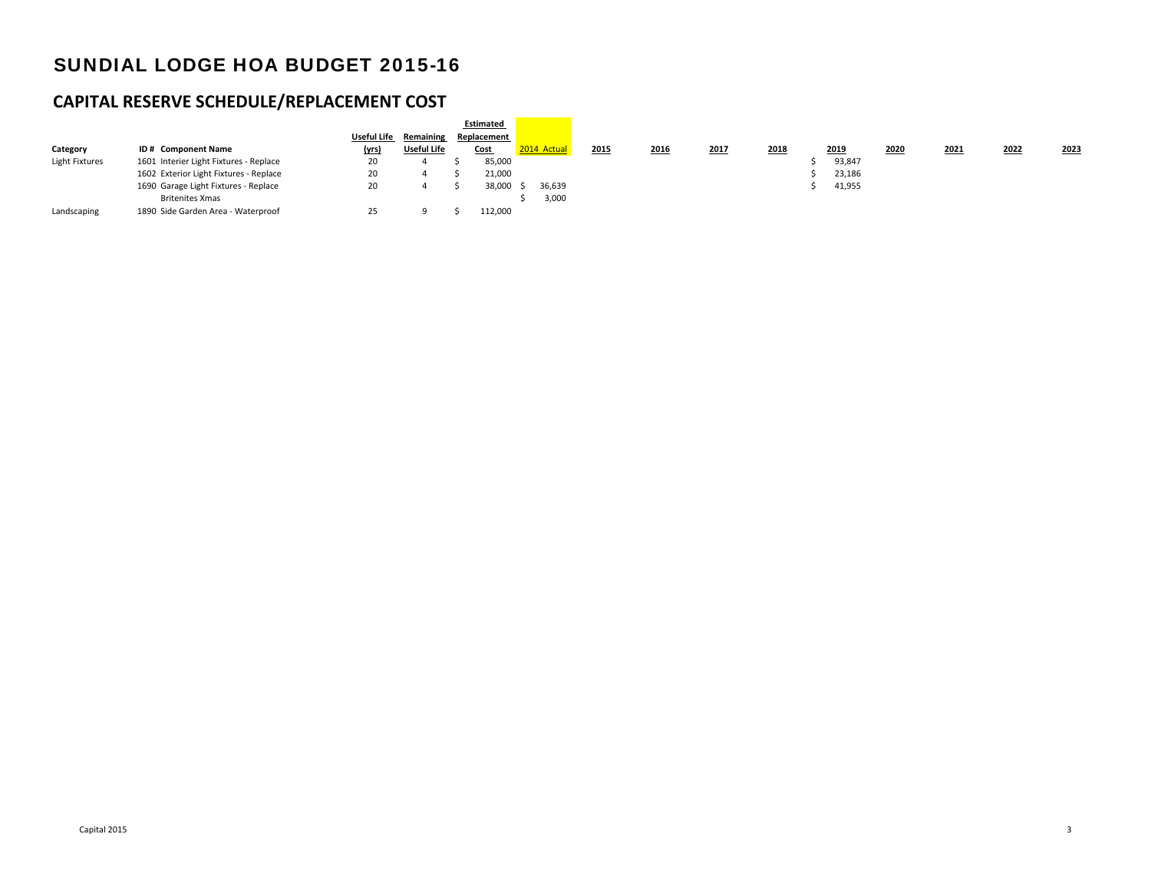|                       |                                        |             |                    | Estimated   |             |      |      |      |      |        |      |      |      |      |
|-----------------------|----------------------------------------|-------------|--------------------|-------------|-------------|------|------|------|------|--------|------|------|------|------|
|                       |                                        | Useful Life | Remaining          | Replacement |             |      |      |      |      |        |      |      |      |      |
| Category              | ID# Component Name                     | (yrs)       | <b>Useful Life</b> | <b>Cost</b> | 2014 Actual | 2015 | 2016 | 2017 | 2018 | 2019   | 2020 | 2021 | 2022 | 2023 |
| <b>Light Fixtures</b> | 1601 Interier Light Fixtures - Replace | 20          |                    | 85,000      |             |      |      |      |      | 93,847 |      |      |      |      |
|                       | 1602 Exterior Light Fixtures - Replace | 20          |                    | 21,000      |             |      |      |      |      | 23,186 |      |      |      |      |
|                       | 1690 Garage Light Fixtures - Replace   | 20          |                    | 38,000      | 36,639      |      |      |      |      | 41,955 |      |      |      |      |
|                       | <b>Britenites Xmas</b>                 |             |                    |             | 3,000       |      |      |      |      |        |      |      |      |      |
| Landscaping           | 1890 Side Garden Area - Waterproof     | 25          |                    | 112,000     |             |      |      |      |      |        |      |      |      |      |